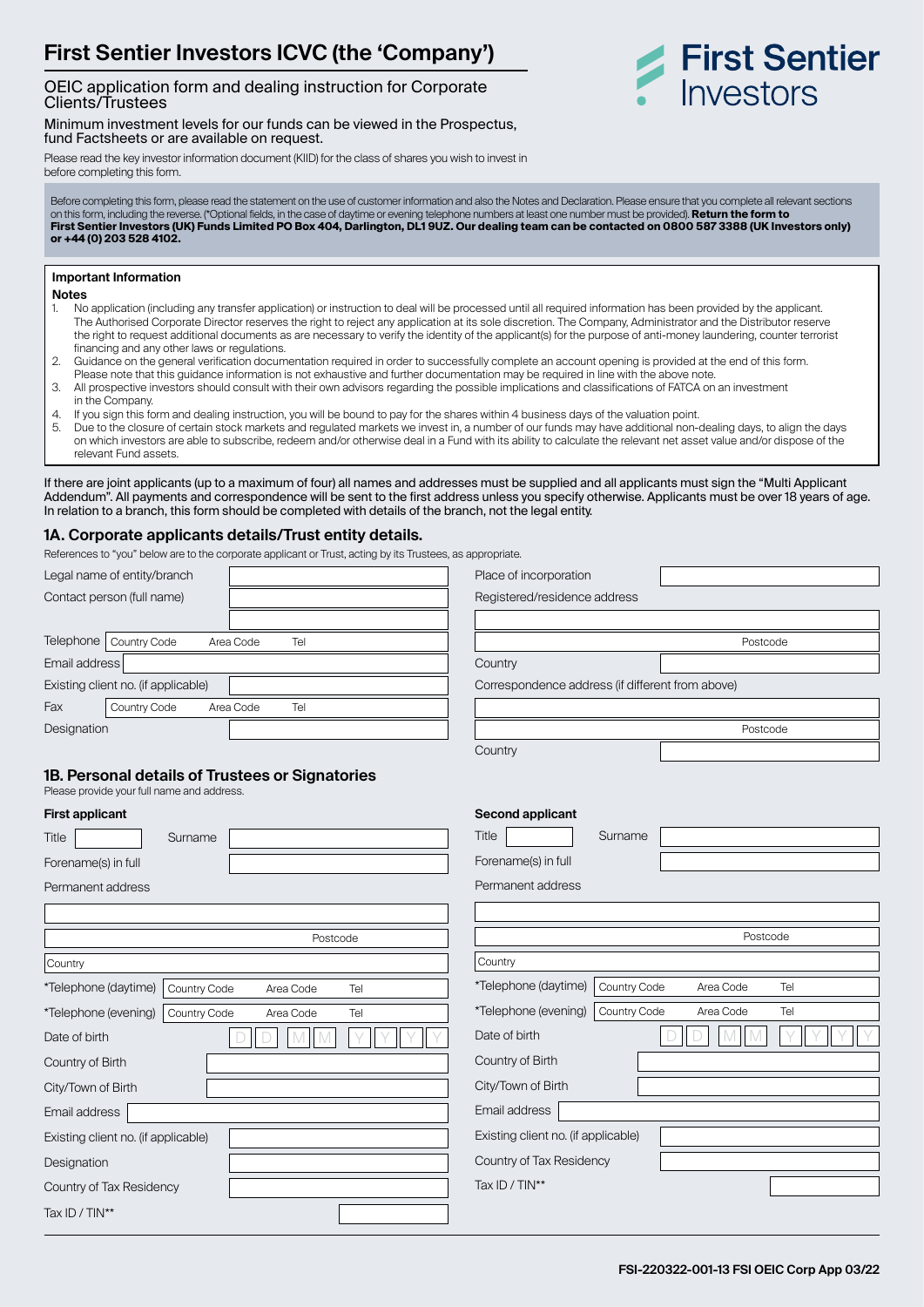# **First Sentier Investors ICVC (the 'Company')**

#### OEIC application form and dealing instruction for Corporate Clients/Trustees

Minimum investment levels for our funds can be viewed in the Prospectus, fund Factsheets or are available on request.

Please read the key investor information document (KIID) for the class of shares you wish to invest in before completing this form.

Before completing this form, please read the statement on the use of customer information and also the Notes and Declaration. Please ensure that you complete all relevant sections on this form, including the reverse. (\*Optional fields, in the case of daytime or evening telephone numbers at least one number must be provided). **Return the form to First Sentier Investors (UK) Funds Limited PO Box 404, Darlington, DL1 9UZ. Our dealing team can be contacted on 0800 587 3388 (UK Investors only) or +44 (0) 203 528 4102.**

#### **Important Information**

**Notes**

- 1. No application (including any transfer application) or instruction to deal will be processed until all required information has been provided by the applicant. The Authorised Corporate Director reserves the right to reject any application at its sole discretion. The Company, Administrator and the Distributor reserve the right to request additional documents as are necessary to verify the identity of the applicant(s) for the purpose of anti-money laundering, counter terrorist financing and any other laws or regulations.
- 2. Guidance on the general verification documentation required in order to successfully complete an account opening is provided at the end of this form. Please note that this guidance information is not exhaustive and further documentation may be required in line with the above note.
- 3. All prospective investors should consult with their own advisors regarding the possible implications and classifications of FATCA on an investment in the Company.
- 4. If you sign this form and dealing instruction, you will be bound to pay for the shares within 4 business days of the valuation point.<br>5. Due to the closure of certain stock markets and requilated markets we invest in a
- 5. Due to the closure of certain stock markets and regulated markets we invest in, a number of our funds may have additional non-dealing days, to align the days on which investors are able to subscribe, redeem and/or otherwise deal in a Fund with its ability to calculate the relevant net asset value and/or dispose of the relevant Fund assets.

If there are joint applicants (up to a maximum of four) all names and addresses must be supplied and all applicants must sign the "Multi Applicant Addendum". All payments and correspondence will be sent to the first address unless you specify otherwise. Applicants must be over 18 years of age. In relation to a branch, this form should be completed with details of the branch, not the legal entity.

#### **1A. Corporate applicants details/Trust entity details.**

References to "you" below are to the corporate applicant or Trust, acting by its Trustees, as appropriate.

| Legal name of entity/branch         |                  | Place of incorporation                           |  |
|-------------------------------------|------------------|--------------------------------------------------|--|
| Contact person (full name)          |                  | Registered/residence address                     |  |
|                                     |                  |                                                  |  |
| Telephone  <br>Country Code         | Tel<br>Area Code | Postcode                                         |  |
| Email address                       |                  | Country                                          |  |
| Existing client no. (if applicable) |                  | Correspondence address (if different from above) |  |
| Fax<br>Country Code                 | Area Code<br>Tel |                                                  |  |
| Designation                         |                  | Postcode                                         |  |
|                                     |                  | Country                                          |  |

# **1B. Personal details of Trustees or Signatories**

Please provide your full name and address.

| Surname                             |                              |                                    |
|-------------------------------------|------------------------------|------------------------------------|
|                                     |                              |                                    |
|                                     |                              |                                    |
|                                     |                              |                                    |
|                                     |                              |                                    |
|                                     |                              |                                    |
|                                     |                              | Tel                                |
|                                     |                              | Tel                                |
|                                     |                              |                                    |
|                                     |                              |                                    |
|                                     |                              |                                    |
|                                     |                              |                                    |
| Existing client no. (if applicable) |                              |                                    |
|                                     |                              |                                    |
| Country of Tax Residency            |                              |                                    |
|                                     |                              |                                    |
|                                     | Country Code<br>Country Code | Postcode<br>Area Code<br>Area Code |

| <b>Second applicant</b>             |              |           |     |  |
|-------------------------------------|--------------|-----------|-----|--|
| Title                               | Surname      |           |     |  |
| Forename(s) in full                 |              |           |     |  |
| Permanent address                   |              |           |     |  |
|                                     |              |           |     |  |
|                                     |              | Postcode  |     |  |
| Country                             |              |           |     |  |
| *Telephone (daytime)                | Country Code | Area Code | Tel |  |
| *Telephone (evening)                | Country Code | Area Code | Tel |  |
| Date of birth                       |              |           |     |  |
| Country of Birth                    |              |           |     |  |
| City/Town of Birth                  |              |           |     |  |
| Email address                       |              |           |     |  |
| Existing client no. (if applicable) |              |           |     |  |
| Country of Tax Residency            |              |           |     |  |
| Tax ID / TIN**                      |              |           |     |  |
|                                     |              |           |     |  |

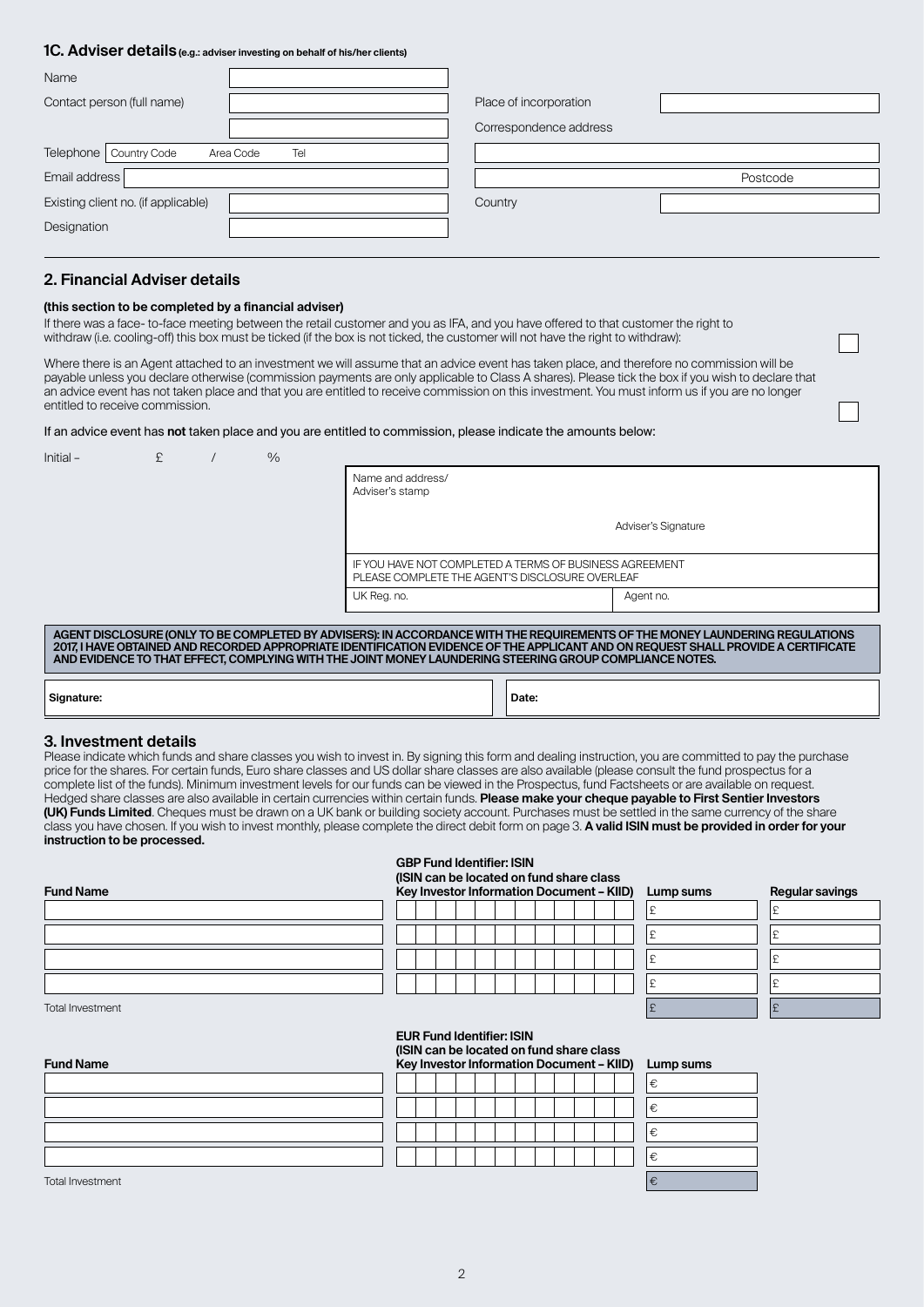#### **1C. Adviser details (e.g.: adviser investing on behalf of his/her clients)**  $\mathbf{r}$

| <b>Name</b>                                  |                        |          |
|----------------------------------------------|------------------------|----------|
| Contact person (full name)                   | Place of incorporation |          |
|                                              | Correspondence address |          |
| Telephone   Country Code<br>Tel<br>Area Code |                        |          |
| Email address                                |                        | Postcode |
|                                              |                        |          |
| Existing client no. (if applicable)          | Country                |          |
| Designation                                  |                        |          |

# **2. Financial Adviser details**

#### **(this section to be completed by a financial adviser)**

If there was a face- to-face meeting between the retail customer and you as IFA, and you have offered to that customer the right to withdraw (i.e. cooling-off) this box must be ticked (if the box is not ticked, the customer will not have the right to withdraw):

Where there is an Agent attached to an investment we will assume that an advice event has taken place, and therefore no commission will be payable unless you declare otherwise (commission payments are only applicable to Class A shares). Please tick the box if you wish to declare that an advice event has not taken place and that you are entitled to receive commission on this investment. You must inform us if you are no longer entitled to receive commission.

#### If an advice event has **not** taken place and you are entitled to commission, please indicate the amounts below:

| Initial-   | £                                                                                                                                                                                                                                                                                                                                                                             |  | $\frac{0}{0}$ |                                                                                                            |  |  |  |  |  |  |  |  |  |
|------------|-------------------------------------------------------------------------------------------------------------------------------------------------------------------------------------------------------------------------------------------------------------------------------------------------------------------------------------------------------------------------------|--|---------------|------------------------------------------------------------------------------------------------------------|--|--|--|--|--|--|--|--|--|
|            |                                                                                                                                                                                                                                                                                                                                                                               |  |               | Name and address/<br>Adviser's stamp                                                                       |  |  |  |  |  |  |  |  |  |
|            |                                                                                                                                                                                                                                                                                                                                                                               |  |               | Adviser's Signature                                                                                        |  |  |  |  |  |  |  |  |  |
|            |                                                                                                                                                                                                                                                                                                                                                                               |  |               | IF YOU HAVE NOT COMPLETED A TERMS OF BUSINESS AGREEMENT<br>PLEASE COMPLETE THE AGENT'S DISCLOSURE OVERLEAF |  |  |  |  |  |  |  |  |  |
|            |                                                                                                                                                                                                                                                                                                                                                                               |  |               | UK Reg. no.<br>Agent no.                                                                                   |  |  |  |  |  |  |  |  |  |
|            |                                                                                                                                                                                                                                                                                                                                                                               |  |               |                                                                                                            |  |  |  |  |  |  |  |  |  |
|            | AGENT DISCLOSURE (ONLY TO BE COMPLETED BY ADVISERS): IN ACCORDANCE WITH THE REQUIREMENTS OF THE MONEY LAUNDERING REGULATIONS<br>2017. I HAVE OBTAINED AND RECORDED APPROPRIATE IDENTIFICATION EVIDENCE OF THE APPLICANT AND ON REQUEST SHALL PROVIDE A CERTIFICATE<br>AND EVIDENCE TO THAT EFFECT, COMPLYING WITH THE JOINT MONEY LAUNDERING STEERING GROUP COMPLIANCE NOTES. |  |               |                                                                                                            |  |  |  |  |  |  |  |  |  |
|            |                                                                                                                                                                                                                                                                                                                                                                               |  |               |                                                                                                            |  |  |  |  |  |  |  |  |  |
| Signature: |                                                                                                                                                                                                                                                                                                                                                                               |  |               | Date:                                                                                                      |  |  |  |  |  |  |  |  |  |

#### **3. Investment details**

Please indicate which funds and share classes you wish to invest in. By signing this form and dealing instruction, you are committed to pay the purchase price for the shares. For certain funds, Euro share classes and US dollar share classes are also available (please consult the fund prospectus for a complete list of the funds). Minimum investment levels for our funds can be viewed in the Prospectus, fund Factsheets or are available on request. Hedged share classes are also available in certain currencies within certain funds. **Please make your cheque payable to First Sentier Investors (UK) Funds Limited**. Cheques must be drawn on a UK bank or building society account. Purchases must be settled in the same currency of the share class you have chosen. If you wish to invest monthly, please complete the direct debit form on page 3. **A valid ISIN must be provided in order for your instruction to be processed.**

**GBP Fund Identifier: ISIN**

**EUR Fund Identifier: ISIN**

| <b>Fund Name</b> | (ISIN can be located on fund share class<br>Key Investor Information Document - KIID) |  |  |  |  |  |  |  |  |  | Lump sums | <b>Regular savings</b> |  |
|------------------|---------------------------------------------------------------------------------------|--|--|--|--|--|--|--|--|--|-----------|------------------------|--|
|                  |                                                                                       |  |  |  |  |  |  |  |  |  |           |                        |  |
|                  |                                                                                       |  |  |  |  |  |  |  |  |  |           |                        |  |
|                  |                                                                                       |  |  |  |  |  |  |  |  |  |           |                        |  |
|                  |                                                                                       |  |  |  |  |  |  |  |  |  |           |                        |  |

| Fund Name               | Key Investor Information Document - KIID) |  |  |  |  |  |  |  | Lump sums | Regul |  |
|-------------------------|-------------------------------------------|--|--|--|--|--|--|--|-----------|-------|--|
|                         |                                           |  |  |  |  |  |  |  |           |       |  |
|                         |                                           |  |  |  |  |  |  |  |           |       |  |
|                         |                                           |  |  |  |  |  |  |  |           |       |  |
|                         |                                           |  |  |  |  |  |  |  |           |       |  |
| <b>Total Investment</b> |                                           |  |  |  |  |  |  |  |           |       |  |

| <b>Fund Name</b> | (ISIN can be located on fund share class<br>Key Investor Information Document - KIID)<br>Lump sums |
|------------------|----------------------------------------------------------------------------------------------------|
|                  |                                                                                                    |
|                  |                                                                                                    |
|                  |                                                                                                    |
|                  |                                                                                                    |

Total Investment  $\epsilon$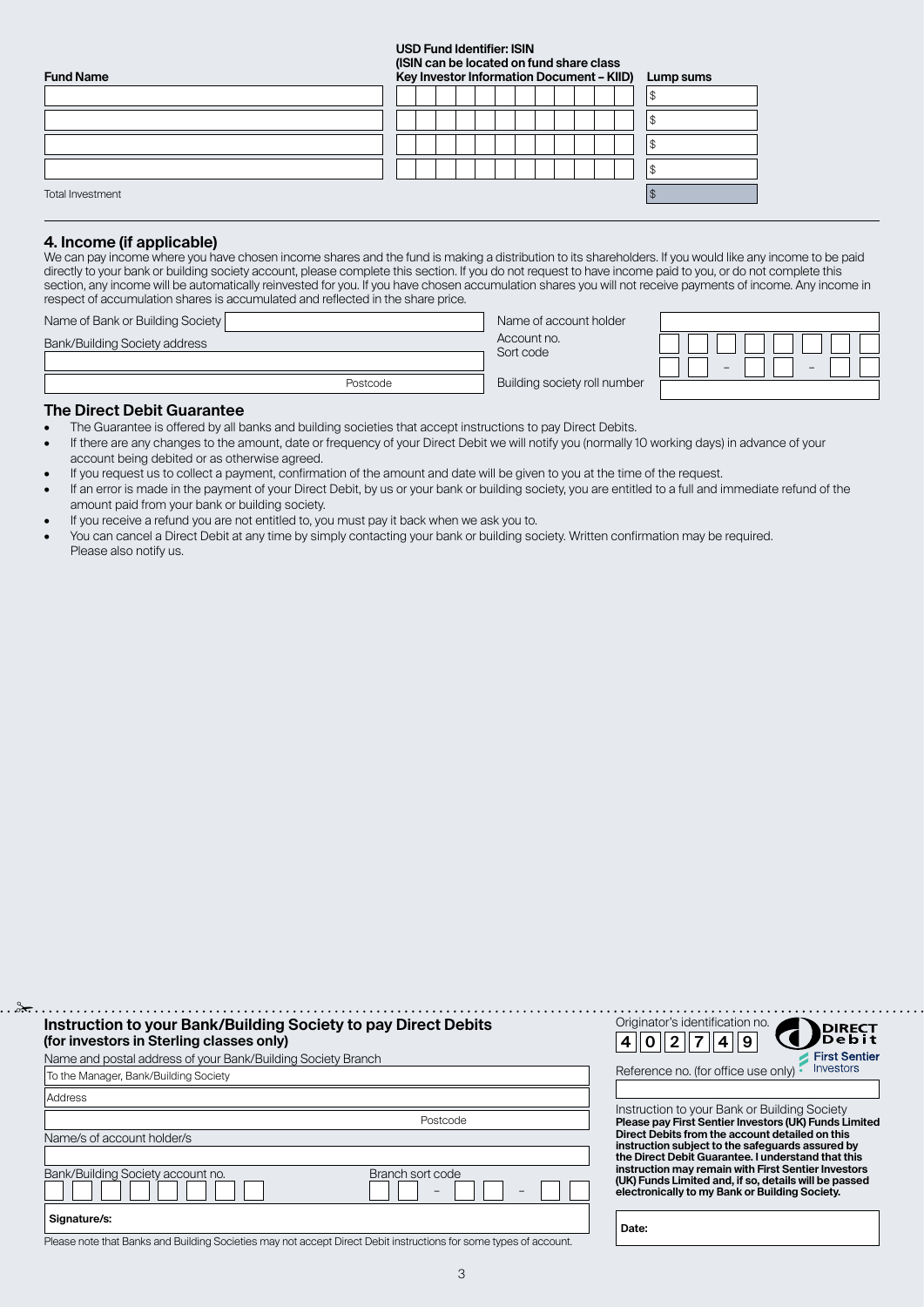### **USD Fund Identifier: ISIN**

**(ISIN can be located on fund share class** 

| <b>Fund Name</b> | point can be recated on rand charge class<br>Key Investor Information Document - KIID) | Lump sums |  |
|------------------|----------------------------------------------------------------------------------------|-----------|--|
|                  |                                                                                        |           |  |
|                  |                                                                                        |           |  |
|                  |                                                                                        |           |  |
|                  |                                                                                        |           |  |
| Total Investment |                                                                                        |           |  |

### **4. Income (if applicable)**

We can pay income where you have chosen income shares and the fund is making a distribution to its shareholders. If you would like any income to be paid directly to your bank or building society account, please complete this section. If you do not request to have income paid to you, or do not complete this section, any income will be automatically reinvested for you. If you have chosen accumulation shares you will not receive payments of income. Any income in respect of accumulation shares is accumulated and reflected in the share price.

| Name of Bank or Building Society |          | Name of account holder       |  |
|----------------------------------|----------|------------------------------|--|
| Bank/Building Society address    |          | Account no.<br>Sort code     |  |
|                                  |          |                              |  |
|                                  | Postcode | Building society roll number |  |

### **The Direct Debit Guarantee**

- The Guarantee is offered by all banks and building societies that accept instructions to pay Direct Debits.
- If there are any changes to the amount, date or frequency of your Direct Debit we will notify you (normally 10 working days) in advance of your account being debited or as otherwise agreed.
- If you request us to collect a payment, confirmation of the amount and date will be given to you at the time of the request.
- If an error is made in the payment of your Direct Debit, by us or your bank or building society, you are entitled to a full and immediate refund of the amount paid from your bank or building society.
- If you receive a refund you are not entitled to, you must pay it back when we ask you to.
- You can cancel a Direct Debit at any time by simply contacting your bank or building society. Written confirmation may be required. Please also notify us.

| Instruction to your Bank/Building Society to pay Direct Debits<br>(for investors in Sterling classes only)        | Originator's identification no.<br>)<br>Die bit<br>De bit                                                                                                      |
|-------------------------------------------------------------------------------------------------------------------|----------------------------------------------------------------------------------------------------------------------------------------------------------------|
| Name and postal address of your Bank/Building Society Branch                                                      | <b>First Sentier</b>                                                                                                                                           |
| To the Manager, Bank/Building Society                                                                             | <i><u><b>Investors</b></u></i><br>Reference no. (for office use only)                                                                                          |
| Address                                                                                                           |                                                                                                                                                                |
| Postcode                                                                                                          | Instruction to your Bank or Building Society<br>Please pay First Sentier Investors (UK) Funds Limited                                                          |
| Name/s of account holder/s                                                                                        | Direct Debits from the account detailed on this<br>instruction subject to the safeguards assured by                                                            |
|                                                                                                                   | the Direct Debit Guarantee. I understand that this                                                                                                             |
| Bank/Building Society account no.<br>Branch sort code                                                             | instruction may remain with First Sentier Investors<br>(UK) Funds Limited and, if so, details will be passed<br>electronically to my Bank or Building Society. |
| Signature/s:                                                                                                      | Date:                                                                                                                                                          |
| Please note that Banks and Building Societies may not accept Direct Debit instructions for some types of account. |                                                                                                                                                                |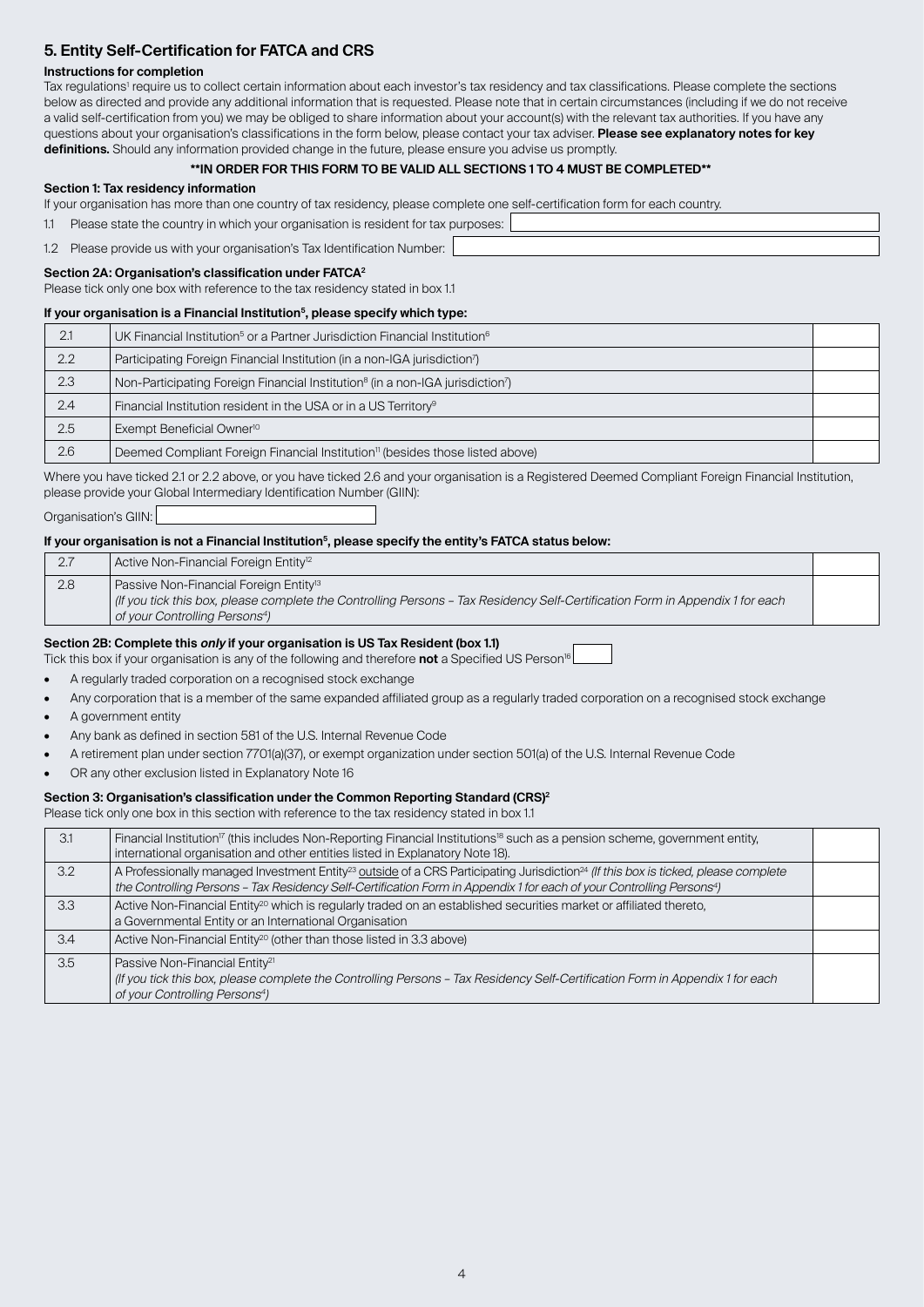# **5. Entity Self-Certification for FATCA and CRS**

#### **Instructions for completion**

Tax regulations<sup>1</sup> require us to collect certain information about each investor's tax residency and tax classifications. Please complete the sections below as directed and provide any additional information that is requested. Please note that in certain circumstances (including if we do not receive a valid self-certification from you) we may be obliged to share information about your account(s) with the relevant tax authorities. If you have any questions about your organisation's classifications in the form below, please contact your tax adviser. **Please see explanatory notes for key definitions.** Should any information provided change in the future, please ensure you advise us promptly.

#### **\*\*IN ORDER FOR THIS FORM TO BE VALID ALL SECTIONS 1 TO 4 MUST BE COMPLETED\*\***

#### **Section 1: Tax residency information**

If your organisation has more than one country of tax residency, please complete one self‑certification form for each country.

| Please state the country in which your organisation is resident for tax purposes: |  |
|-----------------------------------------------------------------------------------|--|
| 1.2 Please provide us with your organisation's Tax Identification Number:         |  |

#### **Section 2A: Organisation's classification under FATCA2**

Please tick only one box with reference to the tax residency stated in box 1.1

# **If your organisation is a Financial Institution5, please specify which type:**

| 2.1 | $\mathsf I$ UK Financial Institution $^5$ or a Partner Jurisdiction Financial Institution $^6$         |  |
|-----|--------------------------------------------------------------------------------------------------------|--|
| 2.2 | Participating Foreign Financial Institution (in a non-IGA jurisdiction <sup>7</sup> )                  |  |
| 2.3 | Non-Participating Foreign Financial Institution <sup>8</sup> (in a non-IGA jurisdiction <sup>7</sup> ) |  |
| 2.4 | Financial Institution resident in the USA or in a US Territory <sup>9</sup>                            |  |
| 2.5 | Exempt Beneficial Owner <sup>10</sup>                                                                  |  |
| 2.6 | Deemed Compliant Foreign Financial Institution <sup>11</sup> (besides those listed above)              |  |

Where you have ticked 2.1 or 2.2 above, or you have ticked 2.6 and your organisation is a Registered Deemed Compliant Foreign Financial Institution, please provide your Global Intermediary Identification Number (GIIN):

Organisation's GIIN:

#### **If your organisation is not a Financial Institution5, please specify the entity's FATCA status below:**

| 2.7 | Active Non-Financial Foreign Entity <sup>12</sup>                                                                                                                                                                                |  |
|-----|----------------------------------------------------------------------------------------------------------------------------------------------------------------------------------------------------------------------------------|--|
| 2.8 | Passive Non-Financial Foreign Entity <sup>13</sup><br>If you tick this box, please complete the Controlling Persons - Tax Residency Self-Certification Form in Appendix 1 for each<br>of your Controlling Persons <sup>4</sup> ) |  |

#### **Section 2B: Complete this only if your organisation is US Tax Resident (box 1.1)**

Tick this box if your organisation is any of the following and therefore **not** a Specified US Person16

- A regularly traded corporation on a recognised stock exchange
- Any corporation that is a member of the same expanded affiliated group as a regularly traded corporation on a recognised stock exchange
- A government entity
- Any bank as defined in section 581 of the U.S. Internal Revenue Code
- A retirement plan under section 7701(a)(37), or exempt organization under section 501(a) of the U.S. Internal Revenue Code
- OR any other exclusion listed in Explanatory Note 16

### **Section 3: Organisation's classification under the Common Reporting Standard (CRS)2**

Please tick only one box in this section with reference to the tax residency stated in box 1.1

| 31  | $\vert$ Financial Institution <sup>17</sup> (this includes Non-Reporting Financial Institutions <sup>18</sup> such as a pension scheme, government entity,<br>International organisation and other entities listed in Explanatory Note 18).                                                     |  |
|-----|-------------------------------------------------------------------------------------------------------------------------------------------------------------------------------------------------------------------------------------------------------------------------------------------------|--|
| 3.2 | A Professionally managed Investment Entity <sup>23</sup> outside of a CRS Participating Jurisdiction <sup>24</sup> (If this box is ticked, please complete<br>the Controlling Persons - Tax Residency Self-Certification Form in Appendix 1 for each of your Controlling Persons <sup>4</sup> ) |  |
| 3.3 | Active Non-Financial Entity <sup>20</sup> which is regularly traded on an established securities market or affiliated thereto,<br>a Governmental Entity or an International Organisation                                                                                                        |  |
| 3.4 | Active Non-Financial Entity <sup>20</sup> (other than those listed in 3.3 above)                                                                                                                                                                                                                |  |
| 3.5 | Passive Non-Financial Entity <sup>21</sup><br>  (If you tick this box, please complete the Controlling Persons - Tax Residency Self-Certification Form in Appendix 1 for each<br>of your Controlling Persons <sup>4</sup> )                                                                     |  |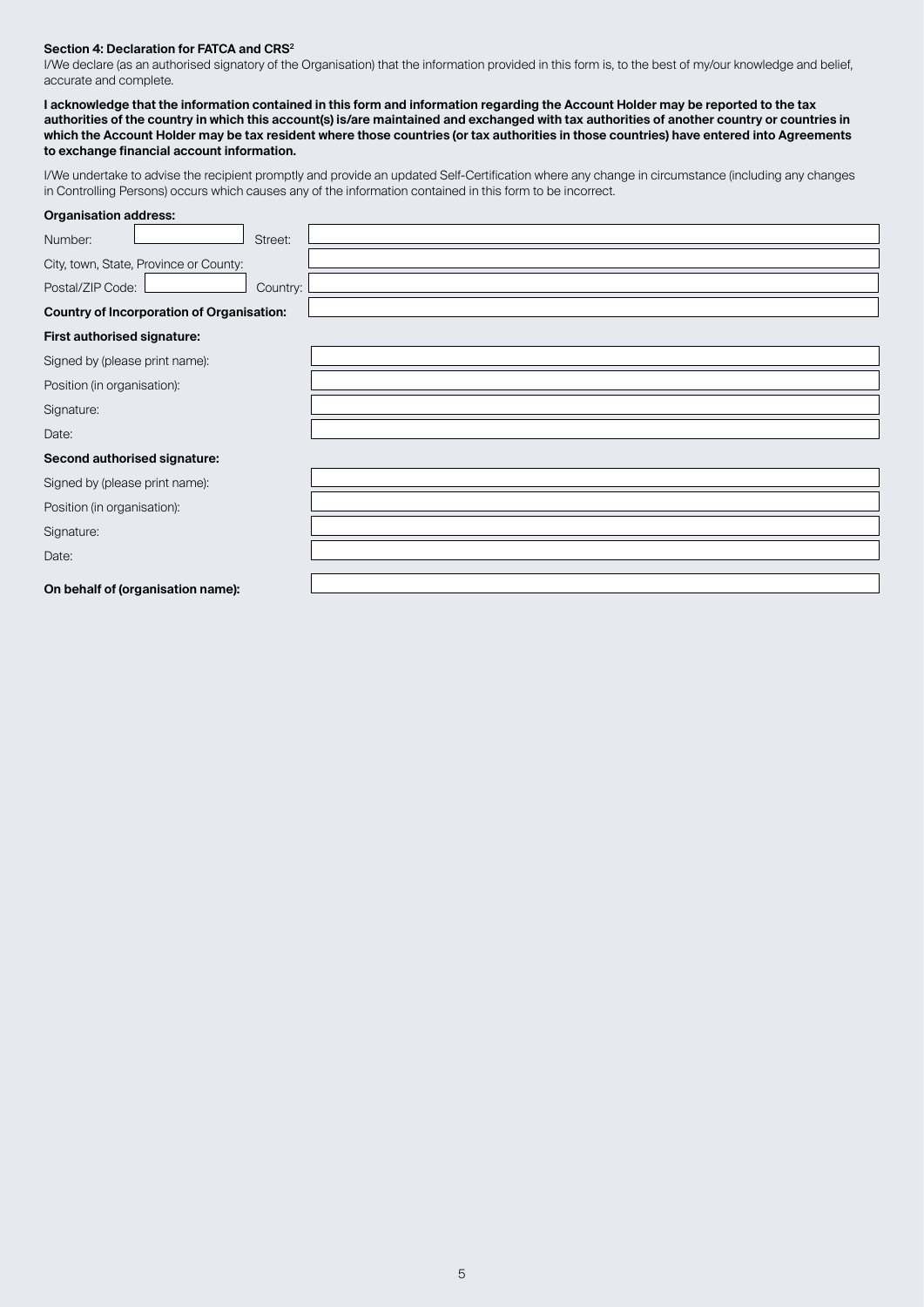#### **Section 4: Declaration for FATCA and CRS2**

I/We declare (as an authorised signatory of the Organisation) that the information provided in this form is, to the best of my/our knowledge and belief, accurate and complete.

**I acknowledge that the information contained in this form and information regarding the Account Holder may be reported to the tax authorities of the country in which this account(s) is/are maintained and exchanged with tax authorities of another country or countries in which the Account Holder may be tax resident where those countries (or tax authorities in those countries) have entered into Agreements to exchange financial account information.**

I/We undertake to advise the recipient promptly and provide an updated Self‑Certification where any change in circumstance (including any changes in Controlling Persons) occurs which causes any of the information contained in this form to be incorrect.

| Organisation address:                            |          |  |  |
|--------------------------------------------------|----------|--|--|
| Number:                                          | Street:  |  |  |
| City, town, State, Province or County:           |          |  |  |
| Postal/ZIP Code:                                 | Country: |  |  |
| <b>Country of Incorporation of Organisation:</b> |          |  |  |
| First authorised signature:                      |          |  |  |
| Signed by (please print name):                   |          |  |  |
| Position (in organisation):                      |          |  |  |
| Signature:                                       |          |  |  |
| Date:                                            |          |  |  |
| Second authorised signature:                     |          |  |  |
| Signed by (please print name):                   |          |  |  |
| Position (in organisation):                      |          |  |  |
| Signature:                                       |          |  |  |
| Date:                                            |          |  |  |
| On behalf of (organisation name):                |          |  |  |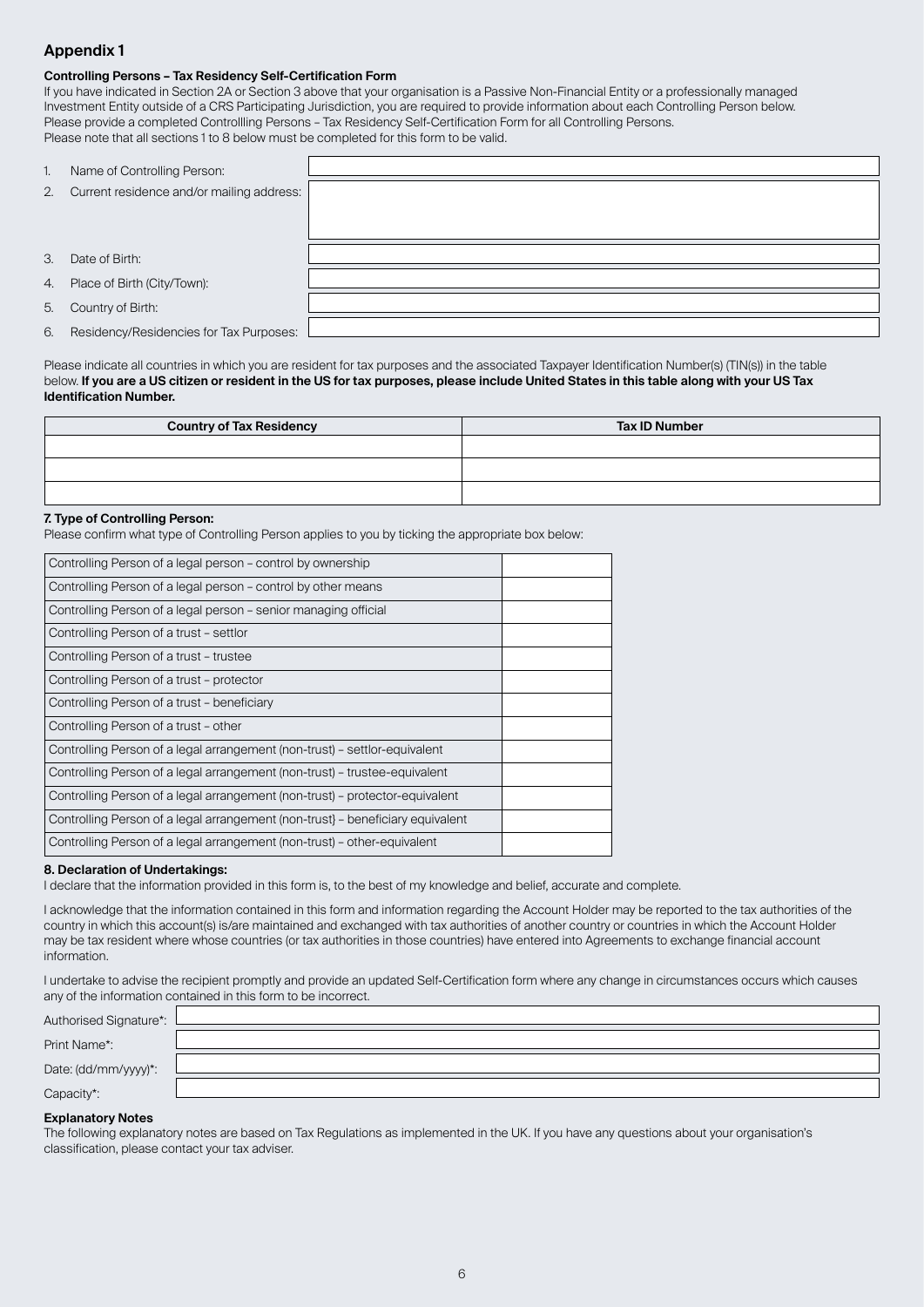# **Appendix 1**

#### **Controlling Persons – Tax Residency Self-Certification Form**

If you have indicated in Section 2A or Section 3 above that your organisation is a Passive Non-Financial Entity or a professionally managed Investment Entity outside of a CRS Participating Jurisdiction, you are required to provide information about each Controlling Person below. Please provide a completed Controllling Persons – Tax Residency Self‑Certification Form for all Controlling Persons. Please note that all sections 1 to 8 below must be completed for this form to be valid.

| 1. | Name of Controlling Person:               |  |
|----|-------------------------------------------|--|
| 2. | Current residence and/or mailing address: |  |
|    |                                           |  |
|    |                                           |  |
| 3. | Date of Birth:                            |  |
|    |                                           |  |
| 4. | Place of Birth (City/Town):               |  |
|    |                                           |  |
| 5. | Country of Birth:                         |  |
|    |                                           |  |
| 6. | Residency/Residencies for Tax Purposes:   |  |
|    |                                           |  |

Please indicate all countries in which you are resident for tax purposes and the associated Taxpayer Identification Number(s) (TIN(s)) in the table below. **If you are a US citizen or resident in the US for tax purposes, please include United States in this table along with your US Tax Identification Number.**

| <b>Country of Tax Residency</b> | <b>Tax ID Number</b> |
|---------------------------------|----------------------|
|                                 |                      |
|                                 |                      |
|                                 |                      |

#### **7. Type of Controlling Person:**

Please confirm what type of Controlling Person applies to you by ticking the appropriate box below:

| Controlling Person of a legal person - control by ownership                    |  |
|--------------------------------------------------------------------------------|--|
| Controlling Person of a legal person - control by other means                  |  |
| Controlling Person of a legal person – senior managing official                |  |
| Controlling Person of a trust - settlor                                        |  |
| Controlling Person of a trust - trustee                                        |  |
| Controlling Person of a trust - protector                                      |  |
| Controlling Person of a trust - beneficiary                                    |  |
| Controlling Person of a trust - other                                          |  |
| Controlling Person of a legal arrangement (non-trust) – settlor-equivalent     |  |
| Controlling Person of a legal arrangement (non-trust) – trustee-equivalent     |  |
| Controlling Person of a legal arrangement (non-trust) – protector-equivalent   |  |
| Controlling Person of a legal arrangement (non-trust) - beneficiary equivalent |  |
| Controlling Person of a legal arrangement (non-trust) - other-equivalent       |  |

#### **8. Declaration of Undertakings:**

I declare that the information provided in this form is, to the best of my knowledge and belief, accurate and complete.

I acknowledge that the information contained in this form and information regarding the Account Holder may be reported to the tax authorities of the country in which this account(s) is/are maintained and exchanged with tax authorities of another country or countries in which the Account Holder may be tax resident where whose countries (or tax authorities in those countries) have entered into Agreements to exchange financial account information.

I undertake to advise the recipient promptly and provide an updated Self‑Certification form where any change in circumstances occurs which causes any of the information contained in this form to be incorrect.

| Authorised Signature*: |  |
|------------------------|--|
| Print Name*:           |  |
| Date: (dd/mm/yyyy)*:   |  |
| Capacity*:             |  |

#### **Explanatory Notes**

The following explanatory notes are based on Tax Regulations as implemented in the UK. If you have any questions about your organisation's classification, please contact your tax adviser.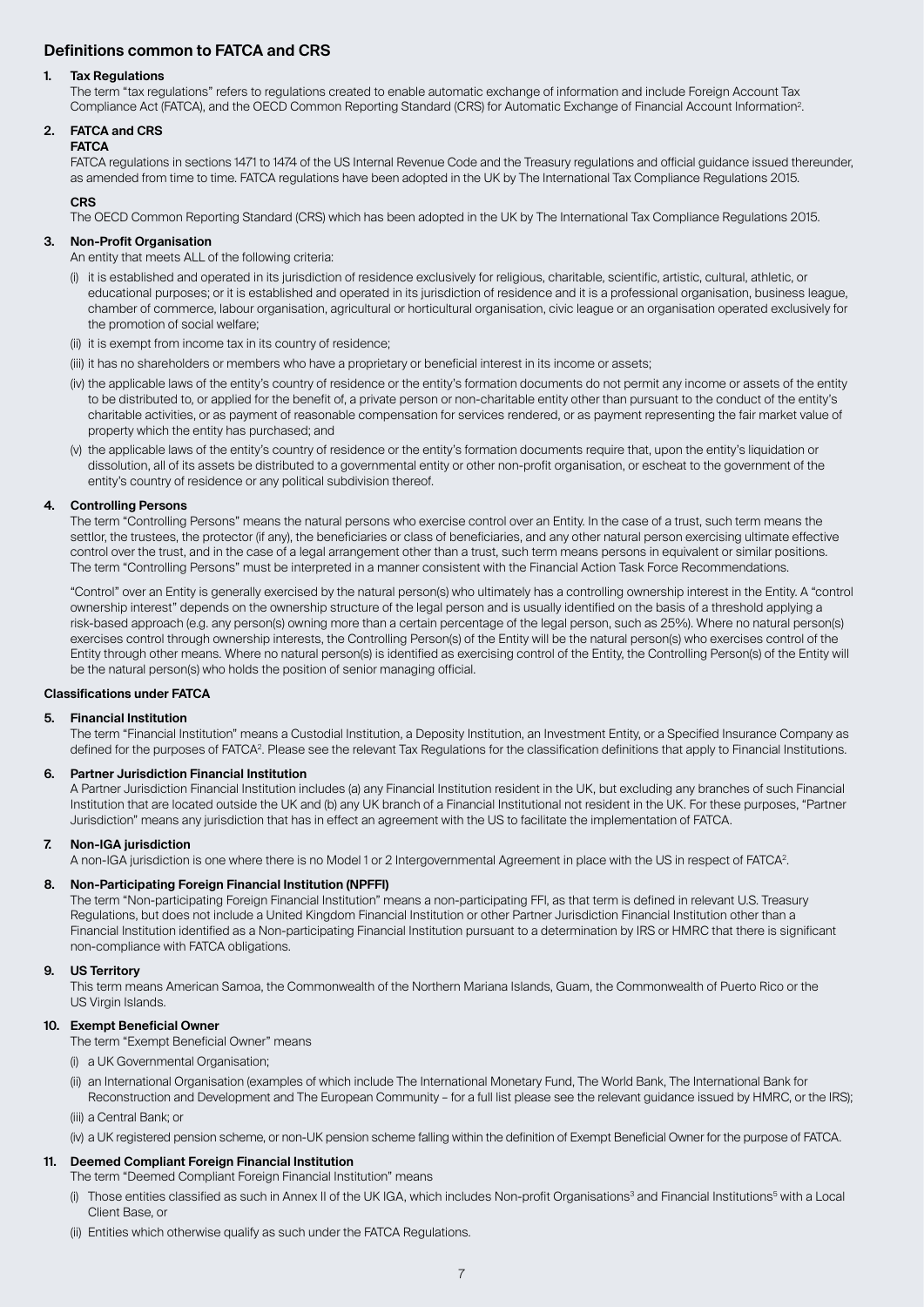# **Definitions common to FATCA and CRS**

#### **1. Tax Regulations**

 The term "tax regulations" refers to regulations created to enable automatic exchange of information and include Foreign Account Tax Compliance Act (FATCA), and the OECD Common Reporting Standard (CRS) for Automatic Exchange of Financial Account Information2.

# **2. FATCA and CRS**

**FATCA**

 FATCA regulations in sections 1471 to 1474 of the US Internal Revenue Code and the Treasury regulations and official guidance issued thereunder, as amended from time to time. FATCA regulations have been adopted in the UK by The International Tax Compliance Regulations 2015.

#### **CRS**

The OECD Common Reporting Standard (CRS) which has been adopted in the UK by The International Tax Compliance Regulations 2015.

#### **3. Non-Profit Organisation**

- An entity that meets ALL of the following criteria:
- (i) it is established and operated in its jurisdiction of residence exclusively for religious, charitable, scientific, artistic, cultural, athletic, or educational purposes; or it is established and operated in its jurisdiction of residence and it is a professional organisation, business league, chamber of commerce, labour organisation, agricultural or horticultural organisation, civic league or an organisation operated exclusively for the promotion of social welfare;
- (ii) it is exempt from income tax in its country of residence;
- (iii) it has no shareholders or members who have a proprietary or beneficial interest in its income or assets;
- (iv) the applicable laws of the entity's country of residence or the entity's formation documents do not permit any income or assets of the entity to be distributed to, or applied for the benefit of, a private person or non-charitable entity other than pursuant to the conduct of the entity's charitable activities, or as payment of reasonable compensation for services rendered, or as payment representing the fair market value of property which the entity has purchased; and
- (v) the applicable laws of the entity's country of residence or the entity's formation documents require that, upon the entity's liquidation or dissolution, all of its assets be distributed to a governmental entity or other non‑profit organisation, or escheat to the government of the entity's country of residence or any political subdivision thereof.

#### **4. Controlling Persons**

 The term "Controlling Persons" means the natural persons who exercise control over an Entity. In the case of a trust, such term means the settlor, the trustees, the protector (if any), the beneficiaries or class of beneficiaries, and any other natural person exercising ultimate effective control over the trust, and in the case of a legal arrangement other than a trust, such term means persons in equivalent or similar positions. The term "Controlling Persons" must be interpreted in a manner consistent with the Financial Action Task Force Recommendations.

 "Control" over an Entity is generally exercised by the natural person(s) who ultimately has a controlling ownership interest in the Entity. A "control ownership interest" depends on the ownership structure of the legal person and is usually identified on the basis of a threshold applying a risk‑based approach (e.g. any person(s) owning more than a certain percentage of the legal person, such as 25%). Where no natural person(s) exercises control through ownership interests, the Controlling Person(s) of the Entity will be the natural person(s) who exercises control of the Entity through other means. Where no natural person(s) is identified as exercising control of the Entity, the Controlling Person(s) of the Entity will be the natural person(s) who holds the position of senior managing official.

#### **Classifications under FATCA**

#### **5. Financial Institution**

 The term "Financial Institution" means a Custodial Institution, a Deposity Institution, an Investment Entity, or a Specified Insurance Company as defined for the purposes of FATCA<sup>2</sup>. Please see the relevant Tax Regulations for the classification definitions that apply to Financial Institutions.

#### **6. Partner Jurisdiction Financial Institution**

 A Partner Jurisdiction Financial Institution includes (a) any Financial Institution resident in the UK, but excluding any branches of such Financial Institution that are located outside the UK and (b) any UK branch of a Financial Institutional not resident in the UK. For these purposes, "Partner Jurisdiction" means any jurisdiction that has in effect an agreement with the US to facilitate the implementation of FATCA.

#### **7. Non-IGA jurisdiction**

A non-IGA jurisdiction is one where there is no Model 1 or 2 Intergovernmental Agreement in place with the US in respect of FATCA<sup>2</sup>.

#### **8. Non-Participating Foreign Financial Institution (NPFFI)**

The term "Non-participating Foreign Financial Institution" means a non-participating FFI, as that term is defined in relevant U.S. Treasury Regulations, but does not include a United Kingdom Financial Institution or other Partner Jurisdiction Financial Institution other than a Financial Institution identified as a Non-participating Financial Institution pursuant to a determination by IRS or HMRC that there is significant non‑compliance with FATCA obligations.

#### **9. US Territory**

 This term means American Samoa, the Commonwealth of the Northern Mariana Islands, Guam, the Commonwealth of Puerto Rico or the US Virgin Islands.

#### **10. Exempt Beneficial Owner**

The term "Exempt Beneficial Owner" means

- (i) a UK Governmental Organisation;
- (ii) an International Organisation (examples of which include The International Monetary Fund, The World Bank, The International Bank for Reconstruction and Development and The European Community – for a full list please see the relevant guidance issued by HMRC, or the IRS);
- (iii) a Central Bank; or
- (iv) a UK registered pension scheme, or non‑UK pension scheme falling within the definition of Exempt Beneficial Owner for the purpose of FATCA.

#### **11. Deemed Compliant Foreign Financial Institution**

The term "Deemed Compliant Foreign Financial Institution" means

- (i) Those entities classified as such in Annex II of the UK IGA, which includes Non-profit Organisations<sup>3</sup> and Financial Institutions<sup>5</sup> with a Local Client Base, or
- (ii) Entities which otherwise qualify as such under the FATCA Regulations.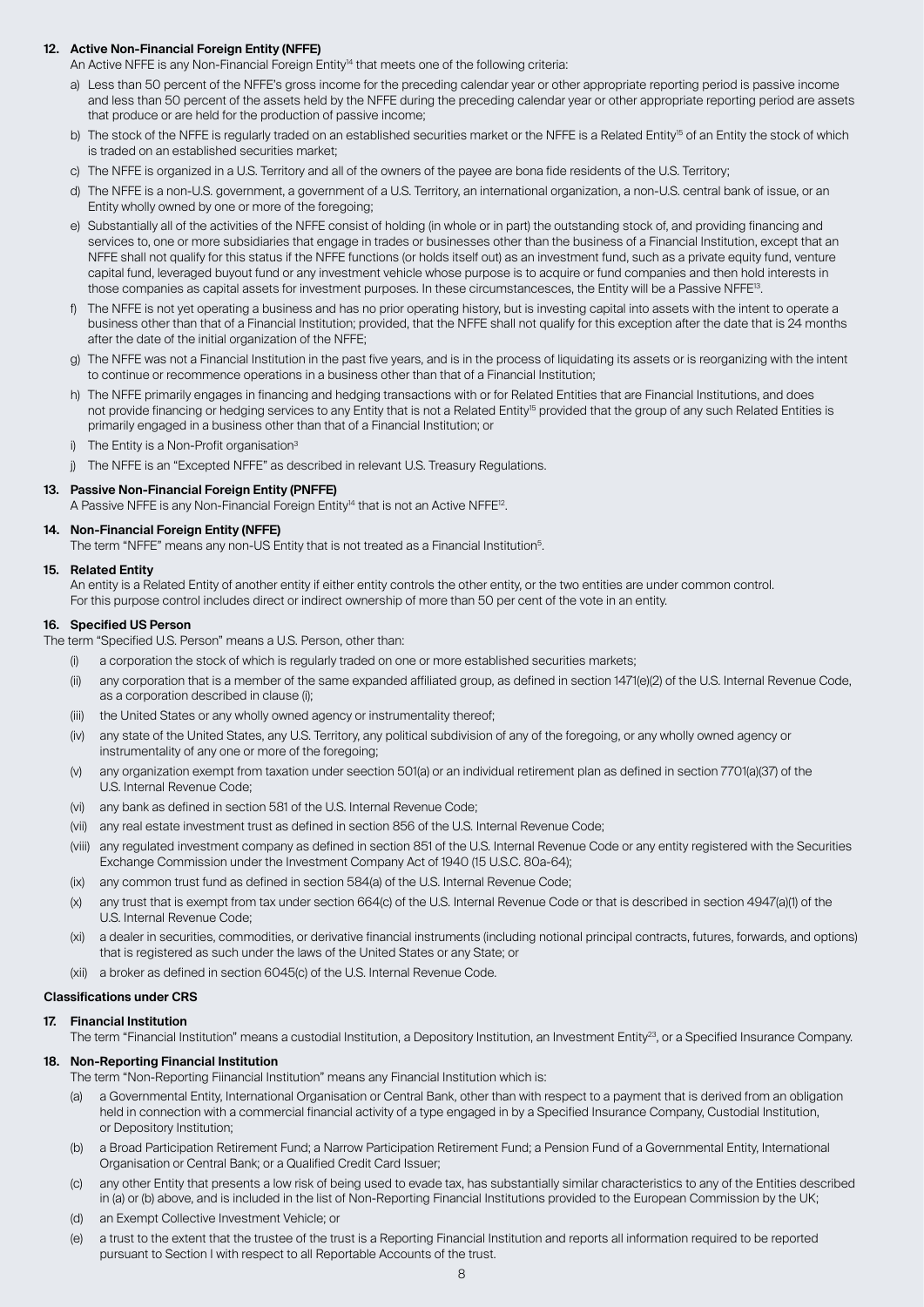### **12. Active Non-Financial Foreign Entity (NFFE)**

An Active NFFE is any Non-Financial Foreign Entity<sup>14</sup> that meets one of the following criteria:

- a) Less than 50 percent of the NFFE's gross income for the preceding calendar year or other appropriate reporting period is passive income and less than 50 percent of the assets held by the NFFE during the preceding calendar year or other appropriate reporting period are assets that produce or are held for the production of passive income;
- b) The stock of the NFFE is regularly traded on an established securities market or the NFFE is a Related Entity<sup>15</sup> of an Entity the stock of which is traded on an established securities market;
- c) The NFFE is organized in a U.S. Territory and all of the owners of the payee are bona fide residents of the U.S. Territory;
- d) The NFFE is a non-U.S. government, a government of a U.S. Territory, an international organization, a non-U.S. central bank of issue, or an Entity wholly owned by one or more of the foregoing;
- e) Substantially all of the activities of the NFFE consist of holding (in whole or in part) the outstanding stock of, and providing financing and services to, one or more subsidiaries that engage in trades or businesses other than the business of a Financial Institution, except that an NFFE shall not qualify for this status if the NFFE functions (or holds itself out) as an investment fund, such as a private equity fund, venture capital fund, leveraged buyout fund or any investment vehicle whose purpose is to acquire or fund companies and then hold interests in those companies as capital assets for investment purposes. In these circumstancesces, the Entity will be a Passive NFFE<sup>13</sup>.
- f) The NFFE is not yet operating a business and has no prior operating history, but is investing capital into assets with the intent to operate a business other than that of a Financial Institution; provided, that the NFFE shall not qualify for this exception after the date that is 24 months after the date of the initial organization of the NFFE;
- g) The NFFE was not a Financial Institution in the past five years, and is in the process of liquidating its assets or is reorganizing with the intent to continue or recommence operations in a business other than that of a Financial Institution;
- h) The NFFE primarily engages in financing and hedging transactions with or for Related Entities that are Financial Institutions, and does not provide financing or hedging services to any Entity that is not a Related Entity<sup>15</sup> provided that the group of any such Related Entities is primarily engaged in a business other than that of a Financial Institution; or
- i) The Entity is a Non-Profit organisation<sup>3</sup>
- j) The NFFE is an "Excepted NFFE" as described in relevant U.S. Treasury Regulations.

#### **13. Passive Non-Financial Foreign Entity (PNFFE)** A Passive NFFE is any Non-Financial Foreign Entity<sup>14</sup> that is not an Active NFFE<sup>12</sup>.

### **14. Non-Financial Foreign Entity (NFFE)**

The term "NFFE" means any non-US Entity that is not treated as a Financial Institution<sup>5</sup>.

#### **15. Related Entity**

 An entity is a Related Entity of another entity if either entity controls the other entity, or the two entities are under common control. For this purpose control includes direct or indirect ownership of more than 50 per cent of the vote in an entity.

#### **16. Specified US Person**

The term "Specified U.S. Person" means a U.S. Person, other than:

- (i) a corporation the stock of which is regularly traded on one or more established securities markets;
- (ii) any corporation that is a member of the same expanded affiliated group, as defined in section 1471(e)(2) of the U.S. Internal Revenue Code, as a corporation described in clause (i);
- (iii) the United States or any wholly owned agency or instrumentality thereof;
- (iv) any state of the United States, any U.S. Territory, any political subdivision of any of the foregoing, or any wholly owned agency or instrumentality of any one or more of the foregoing;
- (v) any organization exempt from taxation under seection 501(a) or an individual retirement plan as defined in section 7701(a)(37) of the U.S. Internal Revenue Code;
- (vi) any bank as defined in section 581 of the U.S. Internal Revenue Code;
- (vii) any real estate investment trust as defined in section 856 of the U.S. Internal Revenue Code;
- (viii) any regulated investment company as defined in section 851 of the U.S. Internal Revenue Code or any entity registered with the Securities Exchange Commission under the Investment Company Act of 1940 (15 U.S.C. 80a-64);
- (ix) any common trust fund as defined in section 584(a) of the U.S. Internal Revenue Code;
- (x) any trust that is exempt from tax under section 664(c) of the U.S. Internal Revenue Code or that is described in section 4947(a)(1) of the U.S. Internal Revenue Code;
- (xi) a dealer in securities, commodities, or derivative financial instruments (including notional principal contracts, futures, forwards, and options) that is registered as such under the laws of the United States or any State; or
- (xii) a broker as defined in section 6045(c) of the U.S. Internal Revenue Code.

#### **Classifications under CRS**

#### **17. Financial Institution**

The term "Financial Institution" means a custodial Institution, a Depository Institution, an Investment Entity<sup>23</sup>, or a Specified Insurance Company.

#### **18. Non-Reporting Financial Institution**

- The term "Non‑Reporting Fiinancial Institution" means any Financial Institution which is:
- (a) a Governmental Entity, International Organisation or Central Bank, other than with respect to a payment that is derived from an obligation held in connection with a commercial financial activity of a type engaged in by a Specified Insurance Company, Custodial Institution, or Depository Institution;
- (b) a Broad Participation Retirement Fund; a Narrow Participation Retirement Fund; a Pension Fund of a Governmental Entity, International Organisation or Central Bank; or a Qualified Credit Card Issuer;
- (c) any other Entity that presents a low risk of being used to evade tax, has substantially similar characteristics to any of the Entities described in (a) or (b) above, and is included in the list of Non-Reporting Financial Institutions provided to the European Commission by the UK;
- (d) an Exempt Collective Investment Vehicle; or
- (e) a trust to the extent that the trustee of the trust is a Reporting Financial Institution and reports all information required to be reported pursuant to Section I with respect to all Reportable Accounts of the trust.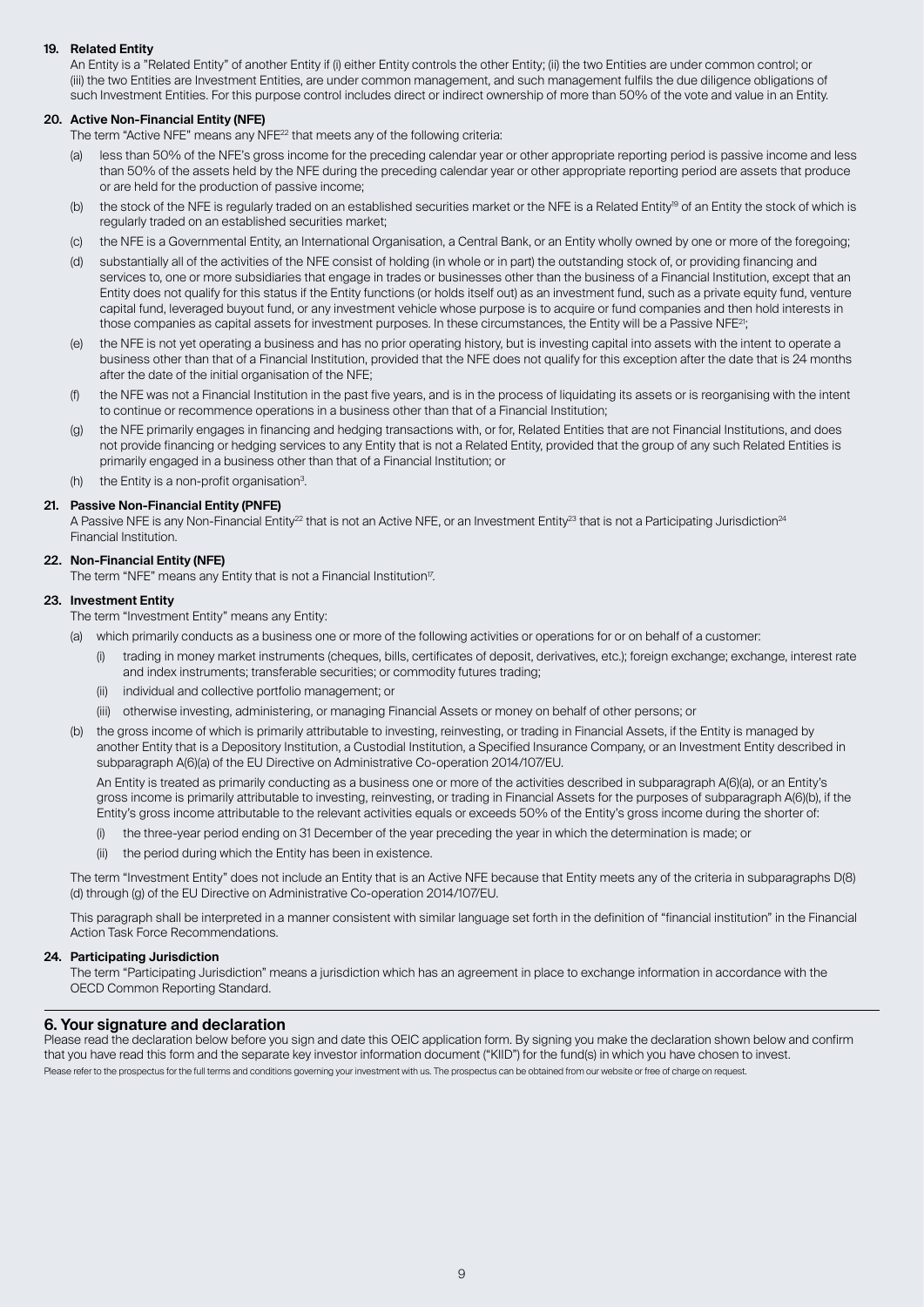#### **19. Related Entity**

 An Entity is a "Related Entity" of another Entity if (i) either Entity controls the other Entity; (ii) the two Entities are under common control; or (iii) the two Entities are Investment Entities, are under common management, and such management fulfils the due diligence obligations of such Investment Entities. For this purpose control includes direct or indirect ownership of more than 50% of the vote and value in an Entity.

#### **20. Active Non-Financial Entity (NFE)**

The term "Active NFE" means any NFE<sup>22</sup> that meets any of the following criteria:

- (a) less than 50% of the NFE's gross income for the preceding calendar year or other appropriate reporting period is passive income and less than 50% of the assets held by the NFE during the preceding calendar year or other appropriate reporting period are assets that produce or are held for the production of passive income;
- (b) the stock of the NFE is regularly traded on an established securities market or the NFE is a Related Entity<sup>19</sup> of an Entity the stock of which is regularly traded on an established securities market;
- (c) the NFE is a Governmental Entity, an International Organisation, a Central Bank, or an Entity wholly owned by one or more of the foregoing;
- (d) substantially all of the activities of the NFE consist of holding (in whole or in part) the outstanding stock of, or providing financing and services to, one or more subsidiaries that engage in trades or businesses other than the business of a Financial Institution, except that an Entity does not qualify for this status if the Entity functions (or holds itself out) as an investment fund, such as a private equity fund, venture capital fund, leveraged buyout fund, or any investment vehicle whose purpose is to acquire or fund companies and then hold interests in those companies as capital assets for investment purposes. In these circumstances, the Entity will be a Passive NFE<sup>21</sup>;
- (e) the NFE is not yet operating a business and has no prior operating history, but is investing capital into assets with the intent to operate a business other than that of a Financial Institution, provided that the NFE does not qualify for this exception after the date that is 24 months after the date of the initial organisation of the NFE;
- the NFE was not a Financial Institution in the past five years, and is in the process of liquidating its assets or is reorganising with the intent to continue or recommence operations in a business other than that of a Financial Institution;
- (g) the NFE primarily engages in financing and hedging transactions with, or for, Related Entities that are not Financial Institutions, and does not provide financing or hedging services to any Entity that is not a Related Entity, provided that the group of any such Related Entities is primarily engaged in a business other than that of a Financial Institution; or
- (h) the Entity is a non-profit organisation<sup>3</sup>.

#### **21. Passive Non-Financial Entity (PNFE)**

A Passive NFE is any Non-Financial Entity<sup>22</sup> that is not an Active NFE, or an Investment Entity<sup>23</sup> that is not a Participating Jurisdiction<sup>24</sup> Financial Institution.

#### **22. Non-Financial Entity (NFE)**

The term "NFE" means any Entity that is not a Financial Institution<sup>17</sup>.

#### **23. Investment Entity**

- The term "Investment Entity" means any Entity:
- (a) which primarily conducts as a business one or more of the following activities or operations for or on behalf of a customer:
	- trading in money market instruments (cheques, bills, certificates of deposit, derivatives, etc.); foreign exchange; exchange, interest rate and index instruments; transferable securities; or commodity futures trading;
	- (ii) individual and collective portfolio management; or
	- (iii) otherwise investing, administering, or managing Financial Assets or money on behalf of other persons; or
- (b) the gross income of which is primarily attributable to investing, reinvesting, or trading in Financial Assets, if the Entity is managed by another Entity that is a Depository Institution, a Custodial Institution, a Specified Insurance Company, or an Investment Entity described in subparagraph A(6)(a) of the EU Directive on Administrative Co-operation 2014/107/EU.

 An Entity is treated as primarily conducting as a business one or more of the activities described in subparagraph A(6)(a), or an Entity's gross income is primarily attributable to investing, reinvesting, or trading in Financial Assets for the purposes of subparagraph A(6)(b), if the Entity's gross income attributable to the relevant activities equals or exceeds 50% of the Entity's gross income during the shorter of:

- (i) the three‑year period ending on 31 December of the year preceding the year in which the determination is made; or
- (ii) the period during which the Entity has been in existence.

 The term "Investment Entity" does not include an Entity that is an Active NFE because that Entity meets any of the criteria in subparagraphs D(8) (d) through (g) of the EU Directive on Administrative Co‑operation 2014/107/EU.

 This paragraph shall be interpreted in a manner consistent with similar language set forth in the definition of "financial institution" in the Financial Action Task Force Recommendations.

#### **24. Participating Jurisdiction**

 The term "Participating Jurisdiction" means a jurisdiction which has an agreement in place to exchange information in accordance with the OECD Common Reporting Standard.

#### **6. Your signature and declaration**

Please read the declaration below before you sign and date this OEIC application form. By signing you make the declaration shown below and confirm that you have read this form and the separate key investor information document ("KIID") for the fund(s) in which you have chosen to invest. Please refer to the prospectus for the full terms and conditions governing your investment with us. The prospectus can be obtained from our website or free of charge on request.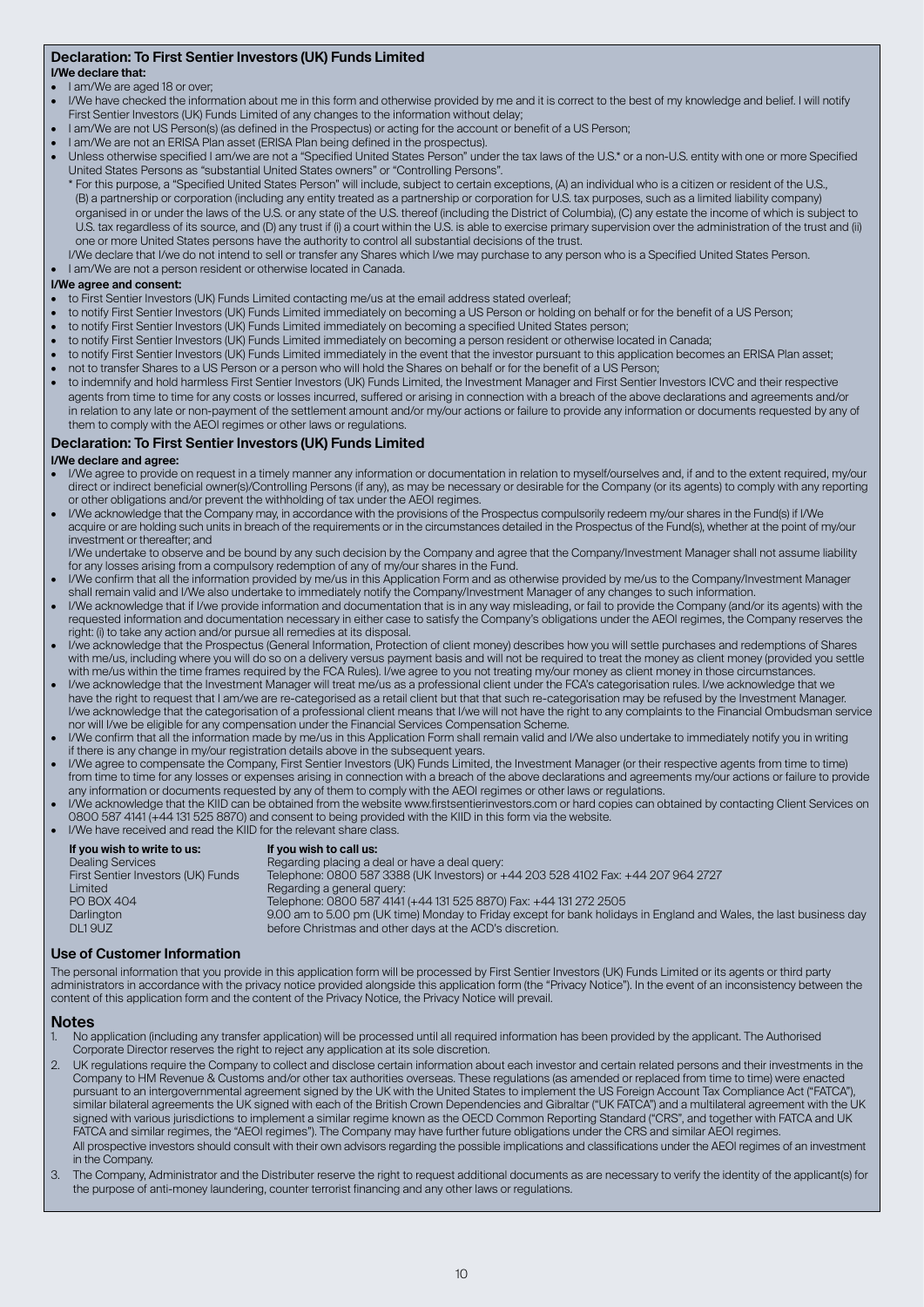# **Declaration: To First Sentier Investors (UK) Funds Limited**

#### **I/We declare that:**

- I am/We are aged 18 or over:
- I/We have checked the information about me in this form and otherwise provided by me and it is correct to the best of my knowledge and belief. I will notify First Sentier Investors (UK) Funds Limited of any changes to the information without delay;
- I am/We are not US Person(s) (as defined in the Prospectus) or acting for the account or benefit of a US Person;
- I am/We are not an ERISA Plan asset (ERISA Plan being defined in the prospectus).
- Unless otherwise specified I am/we are not a "Specified United States Person" under the tax laws of the U.S.\* or a non-U.S. entity with one or more Specified United States Persons as "substantial United States owners" or "Controlling Persons".
- \* For this purpose, a "Specified United States Person" will include, subject to certain exceptions, (A) an individual who is a citizen or resident of the U.S., (B) a partnership or corporation (including any entity treated as a partnership or corporation for U.S. tax purposes, such as a limited liability company) organised in or under the laws of the U.S. or any state of the U.S. thereof (including the District of Columbia), (C) any estate the income of which is subject to U.S. tax regardless of its source, and (D) any trust if (i) a court within the U.S. is able to exercise primary supervision over the administration of the trust and (ii) one or more United States persons have the authority to control all substantial decisions of the trust.
- I/We declare that I/we do not intend to sell or transfer any Shares which I/we may purchase to any person who is a Specified United States Person.

#### • I am/We are not a person resident or otherwise located in Canada.

#### **I/We agree and consent:**

- to First Sentier Investors (UK) Funds Limited contacting me/us at the email address stated overleaf;
- to notify First Sentier Investors (UK) Funds Limited immediately on becoming a US Person or holding on behalf or for the benefit of a US Person;
- to notify First Sentier Investors (UK) Funds Limited immediately on becoming a specified United States person;
- to notify First Sentier Investors (UK) Funds Limited immediately on becoming a person resident or otherwise located in Canada;
- to notify First Sentier Investors (UK) Funds Limited immediately in the event that the investor pursuant to this application becomes an ERISA Plan asset;
- not to transfer Shares to a US Person or a person who will hold the Shares on behalf or for the benefit of a US Person;
- to indemnify and hold harmless First Sentier Investors (UK) Funds Limited, the Investment Manager and First Sentier Investors ICVC and their respective agents from time to time for any costs or losses incurred, suffered or arising in connection with a breach of the above declarations and agreements and/or in relation to any late or non-payment of the settlement amount and/or my/our actions or failure to provide any information or documents requested by any of them to comply with the AEOI regimes or other laws or regulations.

#### **Declaration: To First Sentier Investors (UK) Funds Limited**

#### **I/We declare and agree:**

- I/We agree to provide on request in a timely manner any information or documentation in relation to myself/ourselves and, if and to the extent required, my/our direct or indirect beneficial owner(s)/Controlling Persons (if any), as may be necessary or desirable for the Company (or its agents) to comply with any reporting or other obligations and/or prevent the withholding of tax under the AEOI regimes.
- I/We acknowledge that the Company may, in accordance with the provisions of the Prospectus compulsorily redeem my/our shares in the Fund(s) if I/We acquire or are holding such units in breach of the requirements or in the circumstances detailed in the Prospectus of the Fund(s), whether at the point of my/our investment or thereafter; and

 I/We undertake to observe and be bound by any such decision by the Company and agree that the Company/Investment Manager shall not assume liability for any losses arising from a compulsory redemption of any of my/our shares in the Fund.

- I/We confirm that all the information provided by me/us in this Application Form and as otherwise provided by me/us to the Company/Investment Manager shall remain valid and I/We also undertake to immediately notify the Company/Investment Manager of any changes to such information.
- I/We acknowledge that if I/we provide information and documentation that is in any way misleading, or fail to provide the Company (and/or its agents) with the requested information and documentation necessary in either case to satisfy the Company's obligations under the AEOI regimes, the Company reserves the right: (i) to take any action and/or pursue all remedies at its disposal.
- I/we acknowledge that the Prospectus (General Information, Protection of client money) describes how you will settle purchases and redemptions of Shares with me/us, including where you will do so on a delivery versus payment basis and will not be required to treat the money as client money (provided you settle with me/us within the time frames required by the FCA Rules). I/we agree to you not treating my/our money as client money in those circumstances
- I/we acknowledge that the Investment Manager will treat me/us as a professional client under the FCA's categorisation rules. I/we acknowledge that we have the right to request that I am/we are re-categorised as a retail client but that that such re-categorisation may be refused by the Investment Manager. I/we acknowledge that the categorisation of a professional client means that I/we will not have the right to any complaints to the Financial Ombudsman service nor will I/we be eligible for any compensation under the Financial Services Compensation Scheme.
- I/We confirm that all the information made by me/us in this Application Form shall remain valid and I/We also undertake to immediately notify you in writing if there is any change in my/our registration details above in the subsequent years.
- I/We agree to compensate the Company, First Sentier Investors (UK) Funds Limited, the Investment Manager (or their respective agents from time to time) from time to time for any losses or expenses arising in connection with a breach of the above declarations and agreements my/our actions or failure to provide any information or documents requested by any of them to comply with the AEOI regimes or other laws or regulations.
- I/We acknowledge that the KIID can be obtained from the website www.firstsentierinvestors.com or hard copies can obtained by contacting Client Services on 0800 587 4141 (+44 131 525 8870) and consent to being provided with the KIID in this form via the website.
- I/We have received and read the KIID for the relevant share class.

| If you wish to write to us:        | If you wish to call us:                                                                                            |  |
|------------------------------------|--------------------------------------------------------------------------------------------------------------------|--|
| <b>Dealing Services</b>            | Regarding placing a deal or have a deal query:                                                                     |  |
| First Sentier Investors (UK) Funds | Telephone: 0800 587 3388 (UK Investors) or +44 203 528 4102 Fax: +44 207 964 2727                                  |  |
| Limited                            | Regarding a general query:                                                                                         |  |
| PO BOX 404                         | Telephone: 0800 587 4141 (+44 131 525 8870) Fax: +44 131 272 2505                                                  |  |
| Darlington                         | 9.00 am to 5.00 pm (UK time) Monday to Friday except for bank holidays in England and Wales, the last business day |  |
| DL19UZ                             | before Christmas and other days at the ACD's discretion.                                                           |  |
|                                    |                                                                                                                    |  |

#### **Use of Customer Information**

The personal information that you provide in this application form will be processed by First Sentier Investors (UK) Funds Limited or its agents or third party administrators in accordance with the privacy notice provided alongside this application form (the "Privacy Notice"). In the event of an inconsistency between the content of this application form and the content of the Privacy Notice, the Privacy Notice will prevail.

#### **Notes**

- 1. No application (including any transfer application) will be processed until all required information has been provided by the applicant. The Authorised Corporate Director reserves the right to reject any application at its sole discretion.
- 2. UK regulations require the Company to collect and disclose certain information about each investor and certain related persons and their investments in the Company to HM Revenue & Customs and/or other tax authorities overseas. These regulations (as amended or replaced from time to time) were enacted pursuant to an intergovernmental agreement signed by the UK with the United States to implement the US Foreign Account Tax Compliance Act ("FATCA") similar bilateral agreements the UK signed with each of the British Crown Dependencies and Gibraltar ("UK FATCA") and a multilateral agreement with the UK signed with various jurisdictions to implement a similar regime known as the OECD Common Reporting Standard ("CRS", and together with FATCA and UK FATCA and similar regimes, the "AEOI regimes"). The Company may have further future obligations under the CRS and similar AEOI regimes. All prospective investors should consult with their own advisors regarding the possible implications and classifications under the AEOI regimes of an investment in the Company.
- 3. The Company, Administrator and the Distributer reserve the right to request additional documents as are necessary to verify the identity of the applicant(s) for the purpose of anti-money laundering, counter terrorist financing and any other laws or regulations.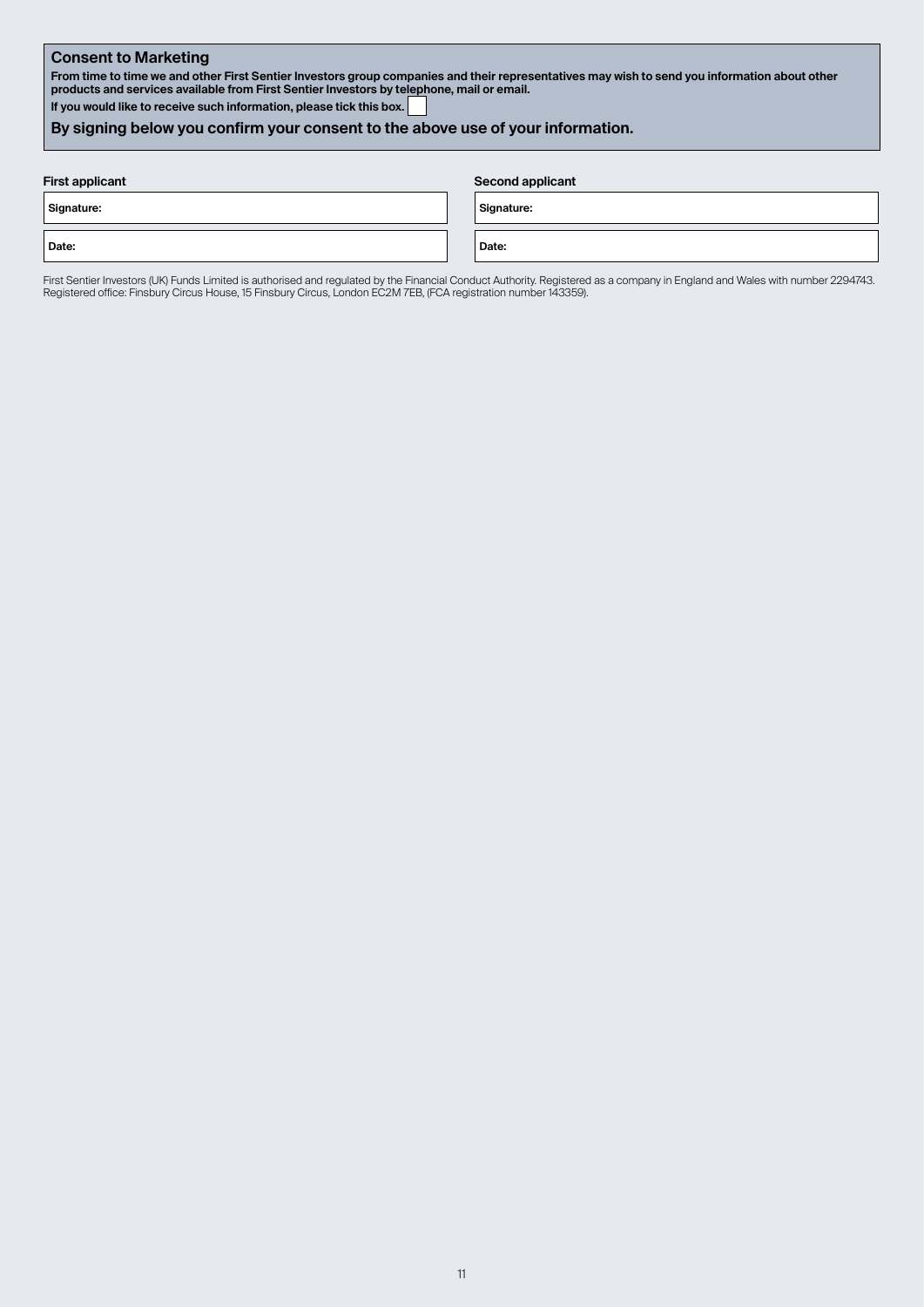### **Consent to Marketing**

**From time to time we and other First Sentier Investors group companies and their representatives may wish to send you information about other products and services available from First Sentier Investors by telephone, mail or email.**

**If you would like to receive such information, please tick this box.** 

# **By signing below you confirm your consent to the above use of your information.**

| <b>First applicant</b> | <b>Second applicant</b> |
|------------------------|-------------------------|
| Signature:             | Signature:              |
| Date:                  | Date:                   |

First Sentier Investors (UK) Funds Limited is authorised and regulated by the Financial Conduct Authority. Registered as a company in England and Wales with number 2294743. Registered office: Finsbury Circus House, 15 Finsbury Circus, London EC2M 7EB, (FCA registration number 143359).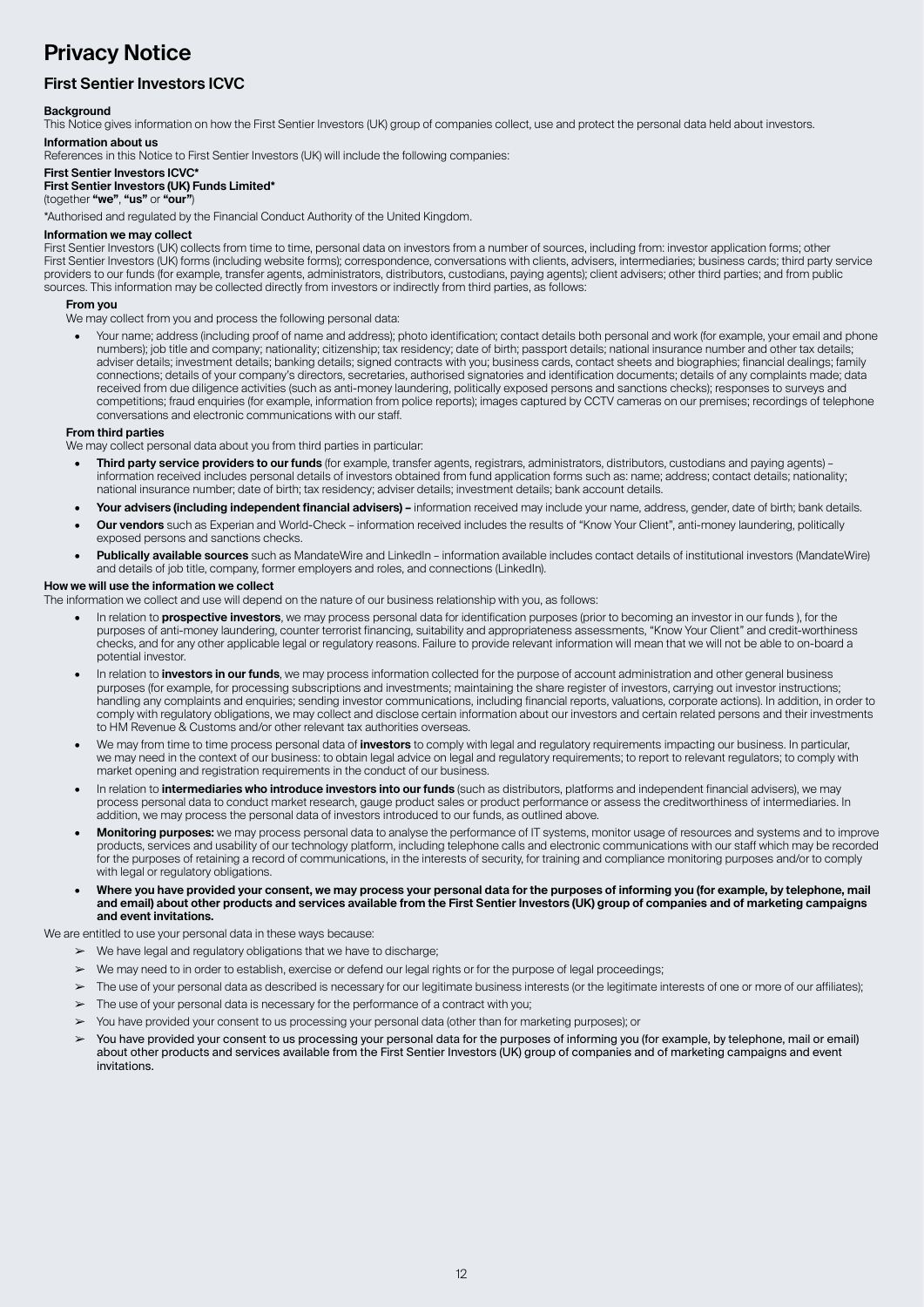# **Privacy Notice**

# **First Sentier Investors ICVC**

#### **Background**

This Notice gives information on how the First Sentier Investors (UK) group of companies collect, use and protect the personal data held about investors. **Information about us**

References in this Notice to First Sentier Investors (UK) will include the following companies:

#### **First Sentier Investors ICVC\***

#### **First Sentier Investors (UK) Funds Limited\***

(together **"we"**, **"us"** or **"our"**)

\*Authorised and regulated by the Financial Conduct Authority of the United Kingdom.

#### **Information we may collect**

First Sentier Investors (UK) collects from time to time, personal data on investors from a number of sources, including from: investor application forms; other First Sentier Investors (UK) forms (including website forms); correspondence, conversations with clients, advisers, intermediaries; business cards; third party service providers to our funds (for example, transfer agents, administrators, distributors, custodians, paying agents); client advisers; other third parties; and from public sources. This information may be collected directly from investors or indirectly from third parties, as follows:

#### **From you**

We may collect from you and process the following personal data:

• Your name; address (including proof of name and address); photo identification; contact details both personal and work (for example, your email and phone numbers); job title and company; nationality; citizenship; tax residency; date of birth; passport details; national insurance number and other tax details; adviser details; investment details; banking details; signed contracts with you; business cards, contact sheets and biographies; financial dealings; family connections; details of your company's directors, secretaries, authorised signatories and identification documents; details of any complaints made; data received from due diligence activities (such as anti-money laundering, politically exposed persons and sanctions checks); responses to surveys and competitions; fraud enquiries (for example, information from police reports); images captured by CCTV cameras on our premises; recordings of telephone conversations and electronic communications with our staff.

#### **From third parties**

We may collect personal data about you from third parties in particular:

- **• Third party service providers to our funds** (for example, transfer agents, registrars, administrators, distributors, custodians and paying agents) information received includes personal details of investors obtained from fund application forms such as: name; address; contact details; nationality; national insurance number; date of birth; tax residency; adviser details; investment details; bank account details.
- **• Your advisers (including independent financial advisers)** information received may include your name, address, gender, date of birth; bank details.
- **• Our vendors** such as Experian and World-Check information received includes the results of "Know Your Client", anti-money laundering, politically exposed persons and sanctions checks.
- **• Publically available sources** such as MandateWire and LinkedIn information available includes contact details of institutional investors (MandateWire) and details of job title, company, former employers and roles, and connections (LinkedIn).

#### **How we will use the information we collect**

The information we collect and use will depend on the nature of our business relationship with you, as follows:

- In relation to **prospective investors**, we may process personal data for identification purposes (prior to becoming an investor in our funds ), for the purposes of anti-money laundering, counter terrorist financing, suitability and appropriateness assessments, "Know Your Client" and credit-worthiness checks, and for any other applicable legal or regulatory reasons. Failure to provide relevant information will mean that we will not be able to on-board a potential investor.
- In relation to **investors in our funds**, we may process information collected for the purpose of account administration and other general business purposes (for example, for processing subscriptions and investments; maintaining the share register of investors, carrying out investor instructions; handling any complaints and enquiries; sending investor communications, including financial reports, valuations, corporate actions). In addition, in order to comply with regulatory obligations, we may collect and disclose certain information about our investors and certain related persons and their investments to HM Revenue & Customs and/or other relevant tax authorities overseas.
- We may from time to time process personal data of **investors** to comply with legal and regulatory requirements impacting our business. In particular, we may need in the context of our business: to obtain legal advice on legal and regulatory requirements; to report to relevant regulators; to comply with market opening and registration requirements in the conduct of our business.
- In relation to **intermediaries who introduce investors into our funds** (such as distributors, platforms and independent financial advisers), we may process personal data to conduct market research, gauge product sales or product performance or assess the creditworthiness of intermediaries. In addition, we may process the personal data of investors introduced to our funds, as outlined above.
- **• Monitoring purposes:** we may process personal data to analyse the performance of IT systems, monitor usage of resources and systems and to improve products, services and usability of our technology platform, including telephone calls and electronic communications with our staff which may be recorded for the purposes of retaining a record of communications, in the interests of security, for training and compliance monitoring purposes and/or to comply with legal or regulatory obligations.
- **• Where you have provided your consent, we may process your personal data for the purposes of informing you (for example, by telephone, mail and email) about other products and services available from the First Sentier Investors (UK) group of companies and of marketing campaigns and event invitations.**

We are entitled to use your personal data in these ways because:

- $\triangleright$  We have legal and regulatory obligations that we have to discharge;
- We may need to in order to establish, exercise or defend our legal rights or for the purpose of legal proceedings;
- ➢ The use of your personal data as described is necessary for our legitimate business interests (or the legitimate interests of one or more of our affiliates);
- $\triangleright$  The use of your personal data is necessary for the performance of a contract with you;
- ➢ You have provided your consent to us processing your personal data (other than for marketing purposes); or
- You have provided your consent to us processing your personal data for the purposes of informing you (for example, by telephone, mail or email) about other products and services available from the First Sentier Investors (UK) group of companies and of marketing campaigns and event invitations.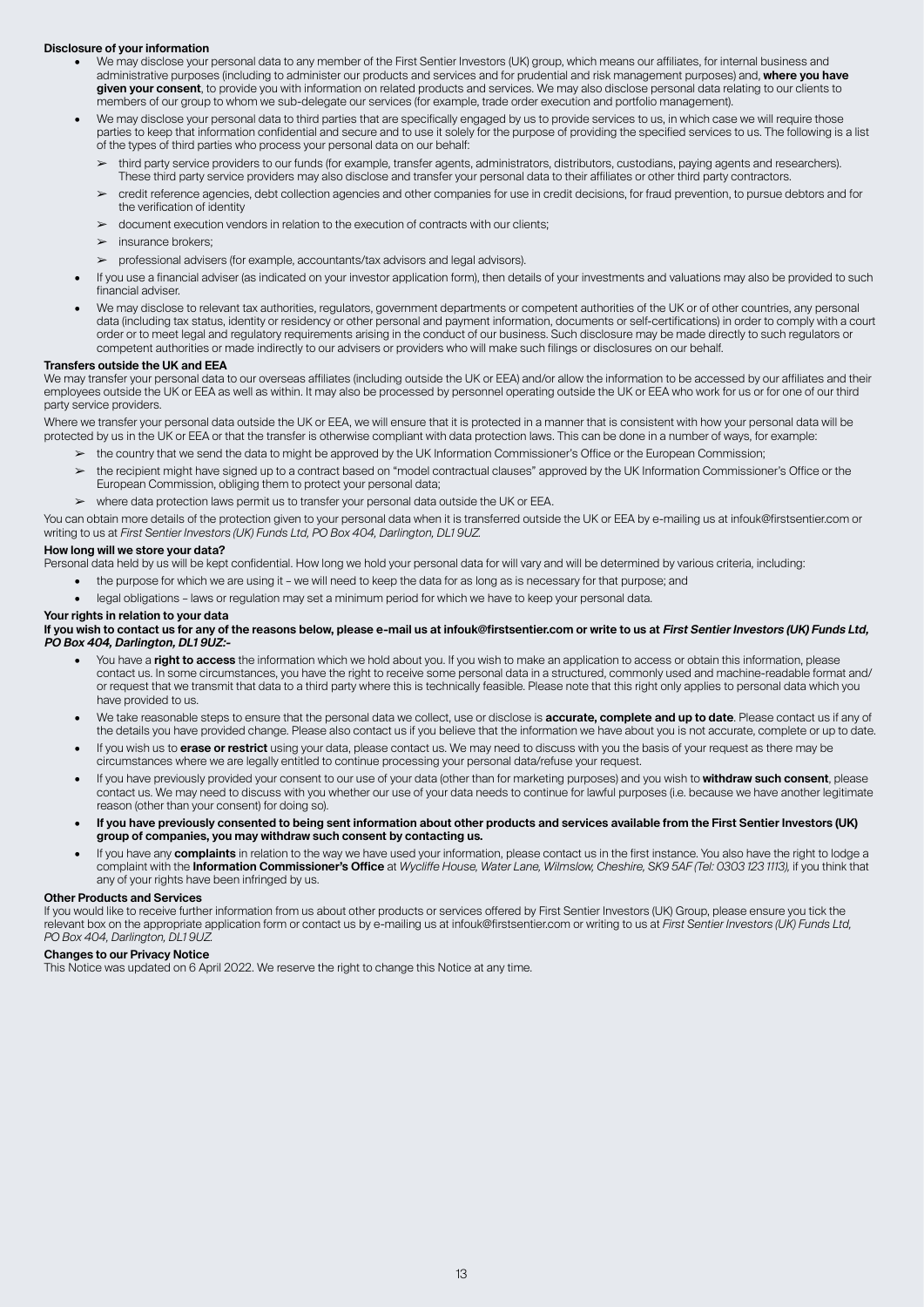#### **Disclosure of your information**

- We may disclose your personal data to any member of the First Sentier Investors (UK) group, which means our affiliates, for internal business and administrative purposes (including to administer our products and services and for prudential and risk management purposes) and, **where you have given your consent**, to provide you with information on related products and services. We may also disclose personal data relating to our clients to members of our group to whom we sub-delegate our services (for example, trade order execution and portfolio management).
- We may disclose your personal data to third parties that are specifically engaged by us to provide services to us, in which case we will require those parties to keep that information confidential and secure and to use it solely for the purpose of providing the specified services to us. The following is a list of the types of third parties who process your personal data on our behalf:
	- ➢ third party service providers to our funds (for example, transfer agents, administrators, distributors, custodians, paying agents and researchers). These third party service providers may also disclose and transfer your personal data to their affiliates or other third party contractors.
	- ➢ credit reference agencies, debt collection agencies and other companies for use in credit decisions, for fraud prevention, to pursue debtors and for the verification of identity
	- ➢ document execution vendors in relation to the execution of contracts with our clients;
	- $\blacktriangleright$  insurance brokers:
	- ➢ professional advisers (for example, accountants/tax advisors and legal advisors).
- If you use a financial adviser (as indicated on your investor application form), then details of your investments and valuations may also be provided to such financial adviser.
- We may disclose to relevant tax authorities, regulators, government departments or competent authorities of the UK or of other countries, any personal data (including tax status, identity or residency or other personal and payment information, documents or self-certifications) in order to comply with a court order or to meet legal and regulatory requirements arising in the conduct of our business. Such disclosure may be made directly to such regulators or competent authorities or made indirectly to our advisers or providers who will make such filings or disclosures on our behalf.

#### **Transfers outside the UK and EEA**

We may transfer your personal data to our overseas affiliates (including outside the UK or EEA) and/or allow the information to be accessed by our affiliates and their employees outside the UK or EEA as well as within. It may also be processed by personnel operating outside the UK or EEA who work for us or for one of our third party service providers.

Where we transfer your personal data outside the UK or EEA, we will ensure that it is protected in a manner that is consistent with how your personal data will be protected by us in the UK or EEA or that the transfer is otherwise compliant with data protection laws. This can be done in a number of ways, for example:

➢ the country that we send the data to might be approved by the UK Information Commissioner's Office or the European Commission;

- the recipient might have signed up to a contract based on "model contractual clauses" approved by the UK Information Commissioner's Office or the European Commission, obliging them to protect your personal data;
- ➢ where data protection laws permit us to transfer your personal data outside the UK or EEA.

You can obtain more details of the protection given to your personal data when it is transferred outside the UK or EEA by e-mailing us at infouk@firstsentier.com or writing to us at *First Sentier Investors (UK) Funds Ltd, PO Box 404, Darlington, DL1 9UZ.*

#### **How long will we store your data?**

Personal data held by us will be kept confidential. How long we hold your personal data for will vary and will be determined by various criteria, including:

- the purpose for which we are using it we will need to keep the data for as long as is necessary for that purpose; and
- legal obligations laws or regulation may set a minimum period for which we have to keep your personal data.

#### **Your rights in relation to your data**

#### If you wish to contact us for any of the reasons below, please e-mail us at infouk@firstsentier.com or write to us at First Sentier Investors (UK) Funds Ltd. **PO Box 404, Darlington, DL1 9UZ:-**

- You have a **right to access** the information which we hold about you. If you wish to make an application to access or obtain this information, please contact us. In some circumstances, you have the right to receive some personal data in a structured, commonly used and machine-readable format and/ or request that we transmit that data to a third party where this is technically feasible. Please note that this right only applies to personal data which you have provided to us.
- We take reasonable steps to ensure that the personal data we collect, use or disclose is **accurate, complete and up to date**. Please contact us if any of the details you have provided change. Please also contact us if you believe that the information we have about you is not accurate, complete or up to date.
- If you wish us to **erase or restrict** using your data, please contact us. We may need to discuss with you the basis of your request as there may be circumstances where we are legally entitled to continue processing your personal data/refuse your request.
- If you have previously provided your consent to our use of your data (other than for marketing purposes) and you wish to **withdraw such consent**, please contact us. We may need to discuss with you whether our use of your data needs to continue for lawful purposes (i.e. because we have another legitimate reason (other than your consent) for doing so).
- **• If you have previously consented to being sent information about other products and services available from the First Sentier Investors (UK) group of companies, you may withdraw such consent by contacting us.**
- If you have any **complaints** in relation to the way we have used your information, please contact us in the first instance. You also have the right to lodge a complaint with the **Information Commissioner's Office** at *Wycliffe House, Water Lane, Wilmslow, Cheshire, SK9 5AF (Tel: 0303 123 1113),* if you think that any of your rights have been infringed by us.

#### **Other Products and Services**

If you would like to receive further information from us about other products or services offered by First Sentier Investors (UK) Group, please ensure you tick the relevant box on the appropriate application form or contact us by e-mailing us at infouk@firstsentier.com or writing to us at *First Sentier Investors (UK) Funds Ltd, PO Box 404, Darlington, DL1 9UZ.*

#### **Changes to our Privacy Notice**

This Notice was updated on 6 April 2022. We reserve the right to change this Notice at any time.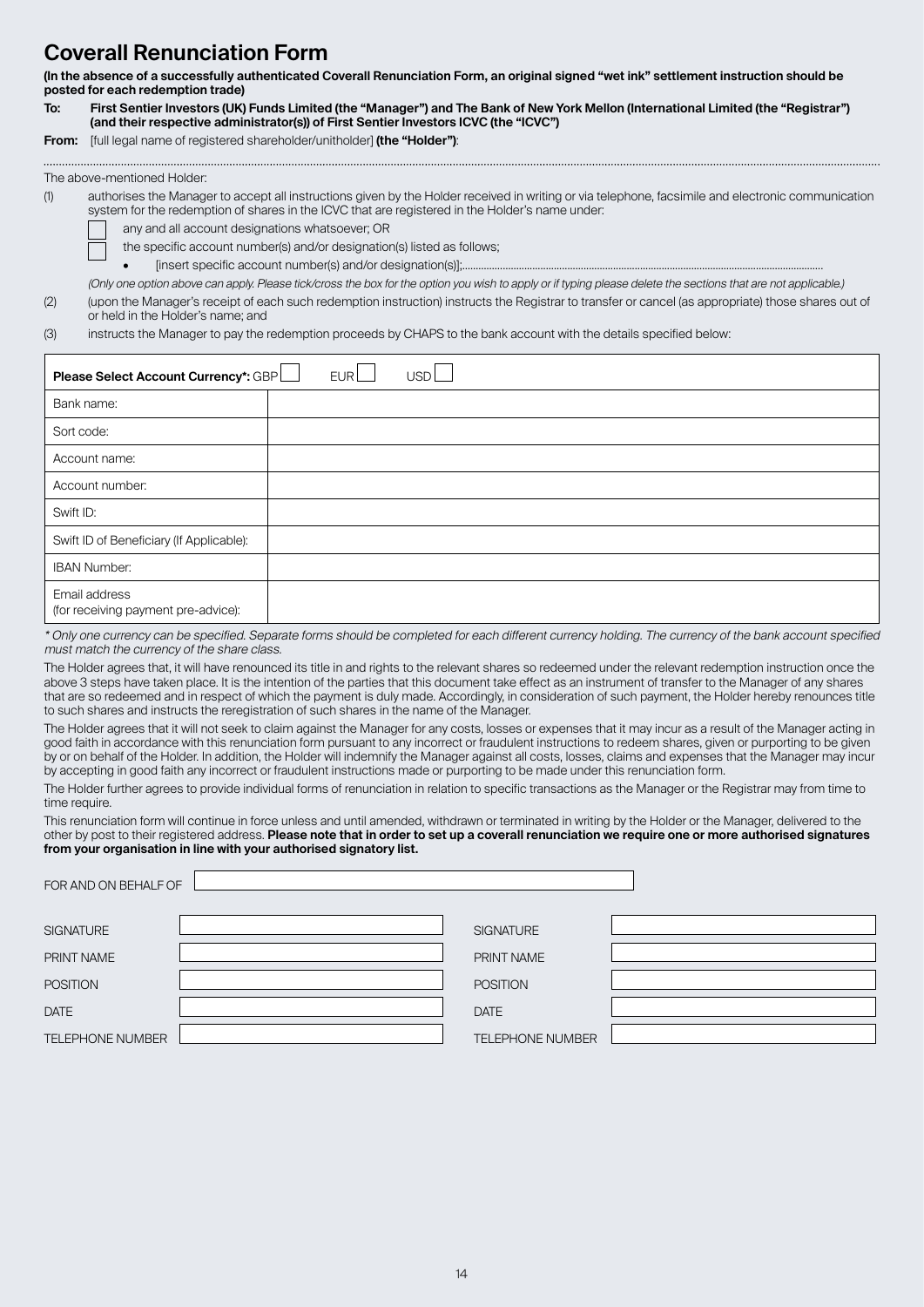# **Coverall Renunciation Form**

**(In the absence of a successfully authenticated Coverall Renunciation Form, an original signed "wet ink" settlement instruction should be posted for each redemption trade)**

**To: First Sentier Investors (UK) Funds Limited (the "Manager") and The Bank of New York Mellon (International Limited (the "Registrar") (and their respective administrator(s)) of First Sentier Investors ICVC (the "ICVC")**

**From:** [full legal name of registered shareholder/unitholder] **(the "Holder")**:

|--|

(1) authorises the Manager to accept all instructions given by the Holder received in writing or via telephone, facsimile and electronic communication system for the redemption of shares in the ICVC that are registered in the Holder's name under:

any and all account designations whatsoever; OR

the specific account number(s) and/or designation(s) listed as follows;

[insert specific account number(s) and/or designation(s)];

(Only one option above can apply. Please tick/cross the box for the option you wish to apply or if typing please delete the sections that are not applicable.)

(2) (upon the Manager's receipt of each such redemption instruction) instructs the Registrar to transfer or cancel (as appropriate) those shares out of or held in the Holder's name; and

(3) instructs the Manager to pay the redemption proceeds by CHAPS to the bank account with the details specified below:

| EURL<br>Please Select Account Currency*: GBP<br>USD <sup>1</sup> |  |
|------------------------------------------------------------------|--|
| Bank name:                                                       |  |
| Sort code:                                                       |  |
| Account name:                                                    |  |
| Account number:                                                  |  |
| Swift ID:                                                        |  |
| Swift ID of Beneficiary (If Applicable):                         |  |
| <b>IBAN Number:</b>                                              |  |
| Email address<br>(for receiving payment pre-advice):             |  |

\* Only one currency can be specified. Separate forms should be completed for each different currency holding. The currency of the bank account specified must match the currency of the share class.

The Holder agrees that, it will have renounced its title in and rights to the relevant shares so redeemed under the relevant redemption instruction once the above 3 steps have taken place. It is the intention of the parties that this document take effect as an instrument of transfer to the Manager of any shares that are so redeemed and in respect of which the payment is duly made. Accordingly, in consideration of such payment, the Holder hereby renounces title to such shares and instructs the reregistration of such shares in the name of the Manager.

The Holder agrees that it will not seek to claim against the Manager for any costs, losses or expenses that it may incur as a result of the Manager acting in good faith in accordance with this renunciation form pursuant to any incorrect or fraudulent instructions to redeem shares, given or purporting to be given by or on behalf of the Holder. In addition, the Holder will indemnify the Manager against all costs, losses, claims and expenses that the Manager may incur by accepting in good faith any incorrect or fraudulent instructions made or purporting to be made under this renunciation form.

The Holder further agrees to provide individual forms of renunciation in relation to specific transactions as the Manager or the Registrar may from time to time require.

This renunciation form will continue in force unless and until amended, withdrawn or terminated in writing by the Holder or the Manager, delivered to the other by post to their registered address. **Please note that in order to set up a coverall renunciation we require one or more authorised signatures from your organisation in line with your authorised signatory list.**

| FOR AND ON BEHALF OF    |                         |  |
|-------------------------|-------------------------|--|
| <b>SIGNATURE</b>        | <b>SIGNATURE</b>        |  |
| PRINT NAME              | PRINT NAME              |  |
| <b>POSITION</b>         | <b>POSITION</b>         |  |
| <b>DATE</b>             | <b>DATE</b>             |  |
| <b>TELEPHONE NUMBER</b> | <b>TELEPHONE NUMBER</b> |  |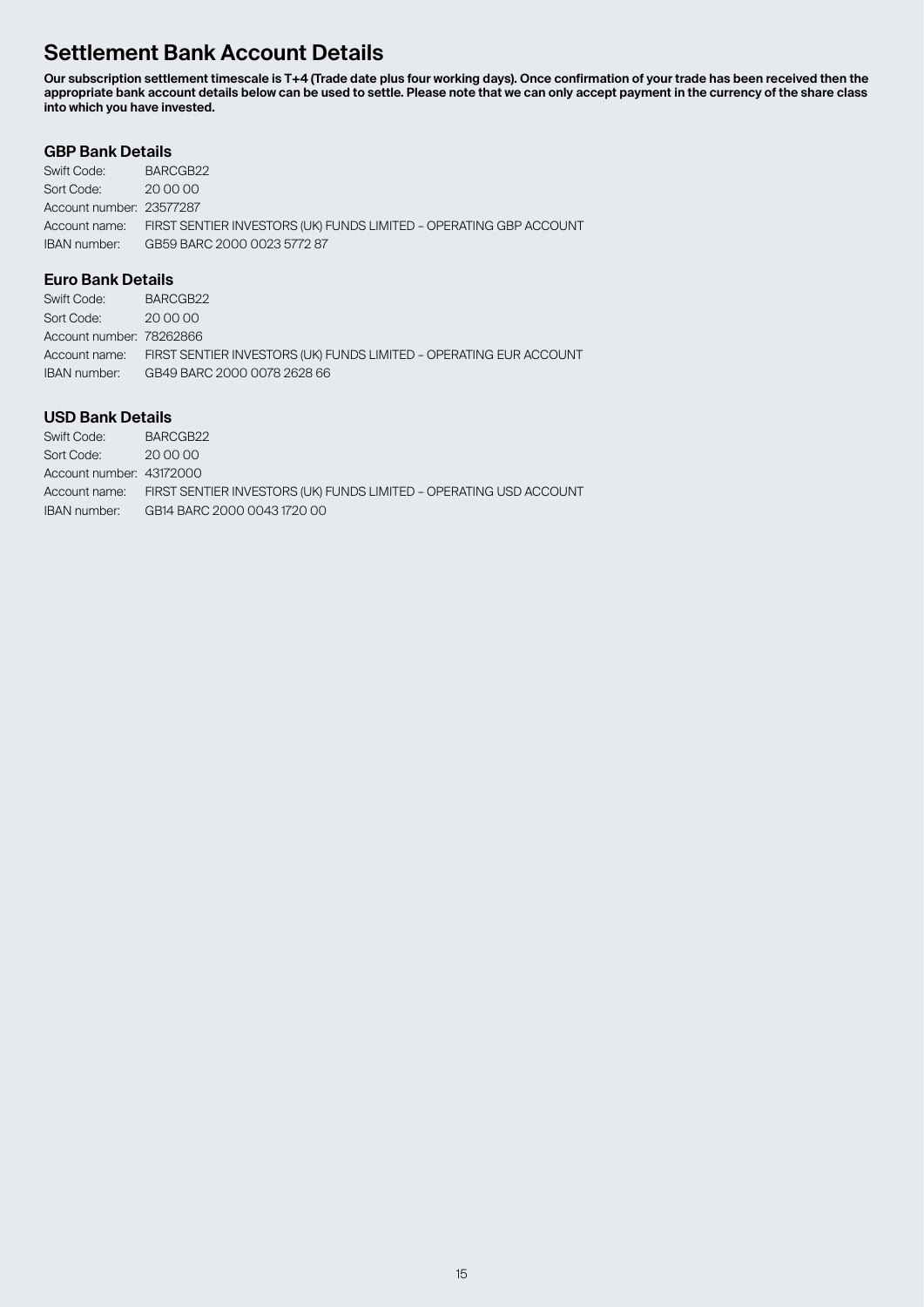# **Settlement Bank Account Details**

**Our subscription settlement timescale is T+4 (Trade date plus four working days). Once confirmation of your trade has been received then the appropriate bank account details below can be used to settle. Please note that we can only accept payment in the currency of the share class into which you have invested.**

# **GBP Bank Details**

| Swift Code:              | BARCGB22                                                                         |
|--------------------------|----------------------------------------------------------------------------------|
| Sort Code:               | 20 00 00                                                                         |
| Account number: 23577287 |                                                                                  |
|                          | Account name: FIRST SENTIER INVESTORS (UK) FUNDS LIMITED - OPERATING GBP ACCOUNT |
| IBAN number:             | GB59 BARC 2000 0023 5772 87                                                      |

# **Euro Bank Details**

| Swift Code:              | BARCGB22                                                                         |
|--------------------------|----------------------------------------------------------------------------------|
| Sort Code:               | 20 00 00                                                                         |
| Account number: 78262866 |                                                                                  |
|                          | Account name: FIRST SENTIER INVESTORS (UK) FUNDS LIMITED - OPERATING EUR ACCOUNT |
| IBAN number:             | GB49 BARC 2000 0078 2628 66                                                      |

# **USD Bank Details**

| Swift Code:              | BARCGB22                                                                         |
|--------------------------|----------------------------------------------------------------------------------|
| Sort Code:               | 20 00 00                                                                         |
| Account number: 43172000 |                                                                                  |
|                          | Account name: FIRST SENTIER INVESTORS (UK) FUNDS LIMITED - OPERATING USD ACCOUNT |
| IBAN number:             | GB14 BARC 2000 0043 1720 00                                                      |